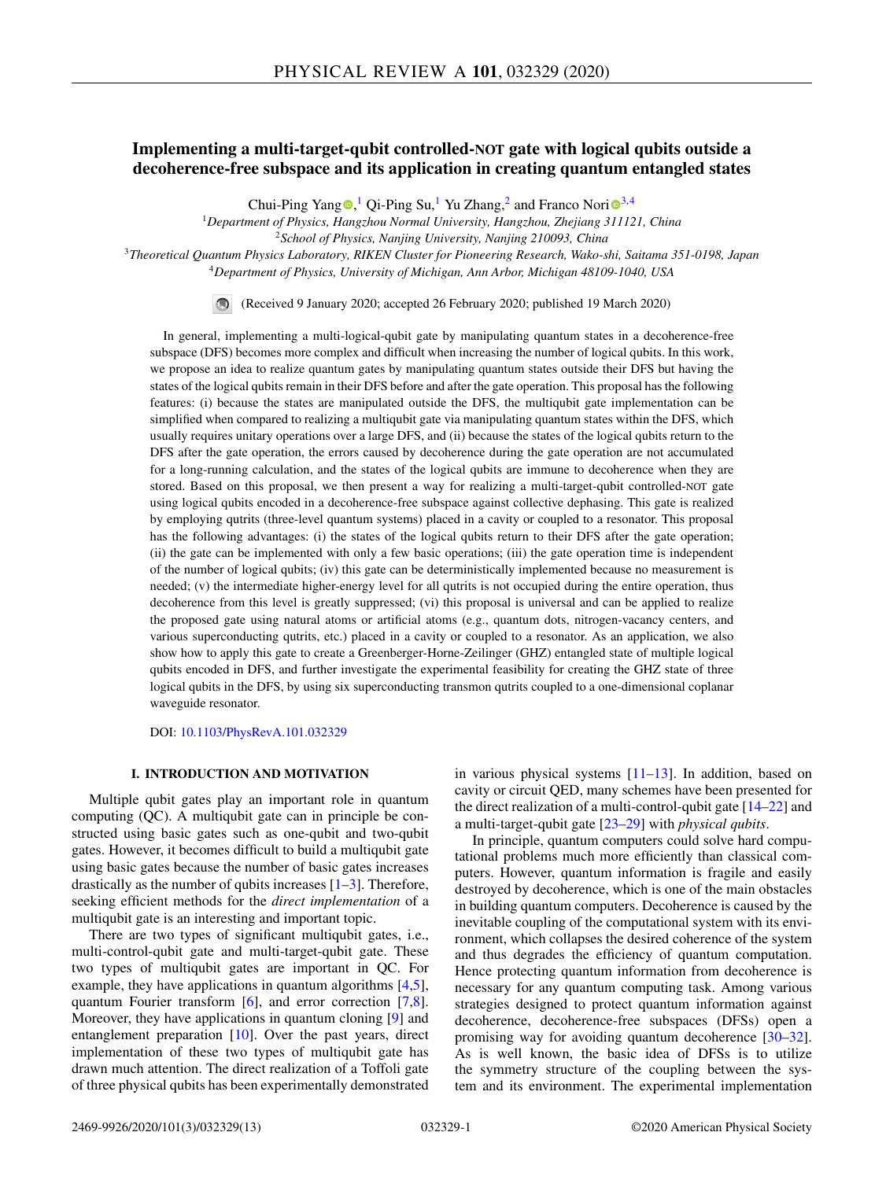# **Implementing a multi-target-qubit controlled-NOT gate with logical qubits outside a decoherence-free subspace and its application in creating quantum entangled states**

Chu[i](https://orcid.org/0000-0003-3682-7432)-Ping Yang  $\bullet$ [,](https://orcid.org/0000-0001-9407-8877)<sup>1</sup> Qi-Ping Su,<sup>1</sup> Yu Zhang,<sup>2</sup> and Franco Nori $\bullet$ <sup>3,4</sup>

<sup>1</sup>*Department of Physics, Hangzhou Normal University, Hangzhou, Zhejiang 311121, China*

<sup>2</sup>*School of Physics, Nanjing University, Nanjing 210093, China*

<sup>3</sup>*Theoretical Quantum Physics Laboratory, RIKEN Cluster for Pioneering Research, Wako-shi, Saitama 351-0198, Japan* <sup>4</sup>*Department of Physics, University of Michigan, Ann Arbor, Michigan 48109-1040, USA*

(Received 9 January 2020; accepted 26 February 2020; published 19 March 2020)

In general, implementing a multi-logical-qubit gate by manipulating quantum states in a decoherence-free subspace (DFS) becomes more complex and difficult when increasing the number of logical qubits. In this work, we propose an idea to realize quantum gates by manipulating quantum states outside their DFS but having the states of the logical qubits remain in their DFS before and after the gate operation. This proposal has the following features: (i) because the states are manipulated outside the DFS, the multiqubit gate implementation can be simplified when compared to realizing a multiqubit gate via manipulating quantum states within the DFS, which usually requires unitary operations over a large DFS, and (ii) because the states of the logical qubits return to the DFS after the gate operation, the errors caused by decoherence during the gate operation are not accumulated for a long-running calculation, and the states of the logical qubits are immune to decoherence when they are stored. Based on this proposal, we then present a way for realizing a multi-target-qubit controlled-NOT gate using logical qubits encoded in a decoherence-free subspace against collective dephasing. This gate is realized by employing qutrits (three-level quantum systems) placed in a cavity or coupled to a resonator. This proposal has the following advantages: (i) the states of the logical qubits return to their DFS after the gate operation; (ii) the gate can be implemented with only a few basic operations; (iii) the gate operation time is independent of the number of logical qubits; (iv) this gate can be deterministically implemented because no measurement is needed; (v) the intermediate higher-energy level for all qutrits is not occupied during the entire operation, thus decoherence from this level is greatly suppressed; (vi) this proposal is universal and can be applied to realize the proposed gate using natural atoms or artificial atoms (e.g., quantum dots, nitrogen-vacancy centers, and various superconducting qutrits, etc.) placed in a cavity or coupled to a resonator. As an application, we also show how to apply this gate to create a Greenberger-Horne-Zeilinger (GHZ) entangled state of multiple logical qubits encoded in DFS, and further investigate the experimental feasibility for creating the GHZ state of three logical qubits in the DFS, by using six superconducting transmon qutrits coupled to a one-dimensional coplanar waveguide resonator.

DOI: [10.1103/PhysRevA.101.032329](https://doi.org/10.1103/PhysRevA.101.032329)

### **I. INTRODUCTION AND MOTIVATION**

Multiple qubit gates play an important role in quantum computing (QC). A multiqubit gate can in principle be constructed using basic gates such as one-qubit and two-qubit gates. However, it becomes difficult to build a multiqubit gate using basic gates because the number of basic gates increases drastically as the number of qubits increases  $[1-3]$ . Therefore, seeking efficient methods for the *direct implementation* of a multiqubit gate is an interesting and important topic.

There are two types of significant multiqubit gates, i.e., multi-control-qubit gate and multi-target-qubit gate. These two types of multiqubit gates are important in QC. For example, they have applications in quantum algorithms [\[4,5\]](#page-9-0), quantum Fourier transform [\[6\]](#page-9-0), and error correction [\[7,8\]](#page-9-0). Moreover, they have applications in quantum cloning [\[9\]](#page-9-0) and entanglement preparation [\[10\]](#page-9-0). Over the past years, direct implementation of these two types of multiqubit gate has drawn much attention. The direct realization of a Toffoli gate of three physical qubits has been experimentally demonstrated

in various physical systems  $[11-13]$ . In addition, based on cavity or circuit QED, many schemes have been presented for the direct realization of a multi-control-qubit gate [\[14–22\]](#page-9-0) and a multi-target-qubit gate [\[23–29\]](#page-10-0) with *physical qubits*.

In principle, quantum computers could solve hard computational problems much more efficiently than classical computers. However, quantum information is fragile and easily destroyed by decoherence, which is one of the main obstacles in building quantum computers. Decoherence is caused by the inevitable coupling of the computational system with its environment, which collapses the desired coherence of the system and thus degrades the efficiency of quantum computation. Hence protecting quantum information from decoherence is necessary for any quantum computing task. Among various strategies designed to protect quantum information against decoherence, decoherence-free subspaces (DFSs) open a promising way for avoiding quantum decoherence [\[30–32\]](#page-10-0). As is well known, the basic idea of DFSs is to utilize the symmetry structure of the coupling between the system and its environment. The experimental implementation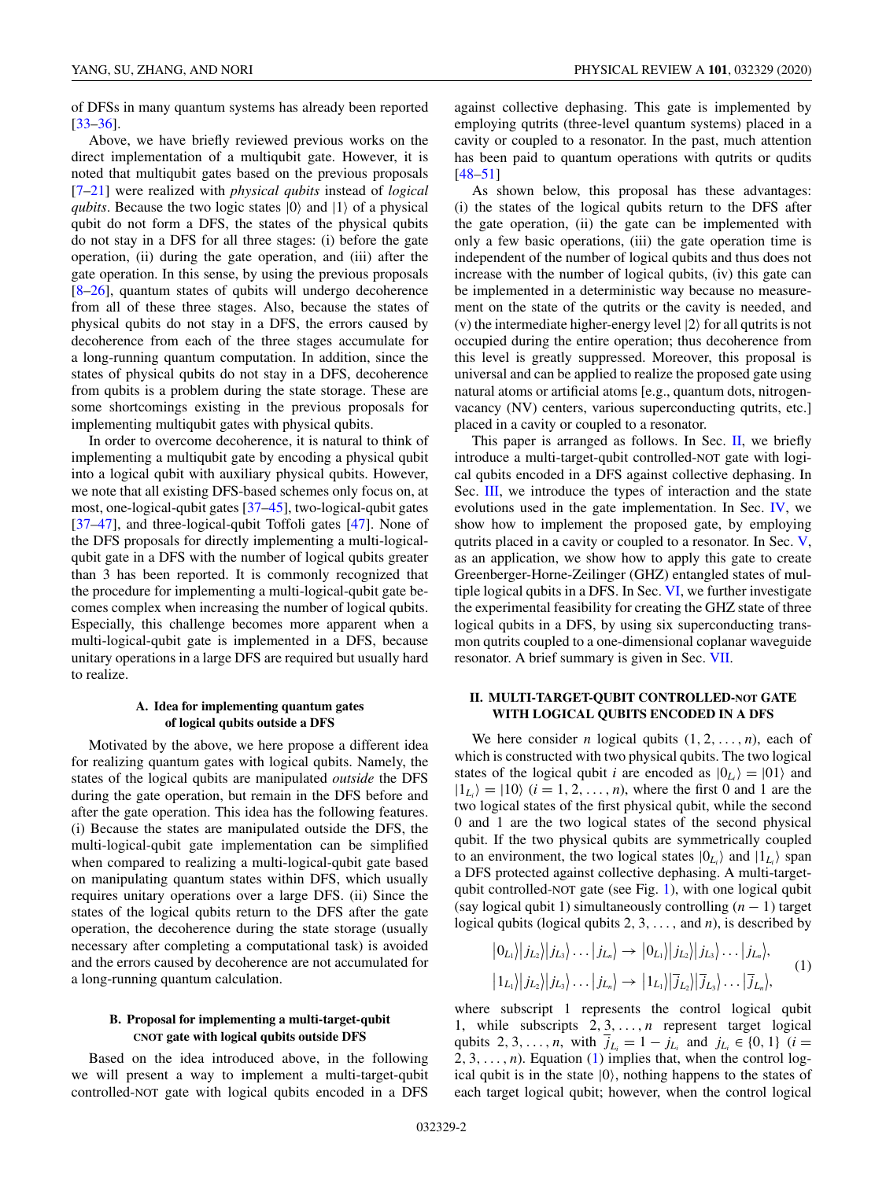<span id="page-1-0"></span>of DFSs in many quantum systems has already been reported [\[33–36\]](#page-10-0).

Above, we have briefly reviewed previous works on the direct implementation of a multiqubit gate. However, it is noted that multiqubit gates based on the previous proposals [\[7–21\]](#page-9-0) were realized with *physical qubits* instead of *logical* qubits. Because the two logic states  $|0\rangle$  and  $|1\rangle$  of a physical qubit do not form a DFS, the states of the physical qubits do not stay in a DFS for all three stages: (i) before the gate operation, (ii) during the gate operation, and (iii) after the gate operation. In this sense, by using the previous proposals [\[8](#page-9-0)[–26\]](#page-10-0), quantum states of qubits will undergo decoherence from all of these three stages. Also, because the states of physical qubits do not stay in a DFS, the errors caused by decoherence from each of the three stages accumulate for a long-running quantum computation. In addition, since the states of physical qubits do not stay in a DFS, decoherence from qubits is a problem during the state storage. These are some shortcomings existing in the previous proposals for implementing multiqubit gates with physical qubits.

In order to overcome decoherence, it is natural to think of implementing a multiqubit gate by encoding a physical qubit into a logical qubit with auxiliary physical qubits. However, we note that all existing DFS-based schemes only focus on, at most, one-logical-qubit gates [\[37–45\]](#page-10-0), two-logical-qubit gates [\[37–47\]](#page-10-0), and three-logical-qubit Toffoli gates [\[47\]](#page-10-0). None of the DFS proposals for directly implementing a multi-logicalqubit gate in a DFS with the number of logical qubits greater than 3 has been reported. It is commonly recognized that the procedure for implementing a multi-logical-qubit gate becomes complex when increasing the number of logical qubits. Especially, this challenge becomes more apparent when a multi-logical-qubit gate is implemented in a DFS, because unitary operations in a large DFS are required but usually hard to realize.

### **A. Idea for implementing quantum gates of logical qubits outside a DFS**

Motivated by the above, we here propose a different idea for realizing quantum gates with logical qubits. Namely, the states of the logical qubits are manipulated *outside* the DFS during the gate operation, but remain in the DFS before and after the gate operation. This idea has the following features. (i) Because the states are manipulated outside the DFS, the multi-logical-qubit gate implementation can be simplified when compared to realizing a multi-logical-qubit gate based on manipulating quantum states within DFS, which usually requires unitary operations over a large DFS. (ii) Since the states of the logical qubits return to the DFS after the gate operation, the decoherence during the state storage (usually necessary after completing a computational task) is avoided and the errors caused by decoherence are not accumulated for a long-running quantum calculation.

# **B. Proposal for implementing a multi-target-qubit CNOT gate with logical qubits outside DFS**

Based on the idea introduced above, in the following we will present a way to implement a multi-target-qubit controlled-NOT gate with logical qubits encoded in a DFS

against collective dephasing. This gate is implemented by employing qutrits (three-level quantum systems) placed in a cavity or coupled to a resonator. In the past, much attention has been paid to quantum operations with qutrits or qudits [\[48–51\]](#page-10-0)

As shown below, this proposal has these advantages: (i) the states of the logical qubits return to the DFS after the gate operation, (ii) the gate can be implemented with only a few basic operations, (iii) the gate operation time is independent of the number of logical qubits and thus does not increase with the number of logical qubits, (iv) this gate can be implemented in a deterministic way because no measurement on the state of the qutrits or the cavity is needed, and  $(v)$  the intermediate higher-energy level  $|2\rangle$  for all qutrits is not occupied during the entire operation; thus decoherence from this level is greatly suppressed. Moreover, this proposal is universal and can be applied to realize the proposed gate using natural atoms or artificial atoms [e.g., quantum dots, nitrogenvacancy (NV) centers, various superconducting qutrits, etc.] placed in a cavity or coupled to a resonator.

This paper is arranged as follows. In Sec.  $II$ , we briefly introduce a multi-target-qubit controlled-NOT gate with logical qubits encoded in a DFS against collective dephasing. In Sec. [III,](#page-2-0) we introduce the types of interaction and the state evolutions used in the gate implementation. In Sec. [IV,](#page-4-0) we show how to implement the proposed gate, by employing qutrits placed in a cavity or coupled to a resonator. In Sec. [V,](#page-5-0) as an application, we show how to apply this gate to create Greenberger-Horne-Zeilinger (GHZ) entangled states of multiple logical qubits in a DFS. In Sec. [VI,](#page-6-0) we further investigate the experimental feasibility for creating the GHZ state of three logical qubits in a DFS, by using six superconducting transmon qutrits coupled to a one-dimensional coplanar waveguide resonator. A brief summary is given in Sec. [VII.](#page-8-0)

# **II. MULTI-TARGET-QUBIT CONTROLLED-NOT GATE WITH LOGICAL QUBITS ENCODED IN A DFS**

We here consider *n* logical qubits  $(1, 2, \ldots, n)$ , each of which is constructed with two physical qubits. The two logical states of the logical qubit *i* are encoded as  $|0_{L_i}\rangle = |01\rangle$  and  $|1_{L_i}\rangle = |10\rangle$  (*i* = 1, 2, ..., *n*), where the first 0 and 1 are the two logical states of the first physical qubit, while the second 0 and 1 are the two logical states of the second physical qubit. If the two physical qubits are symmetrically coupled to an environment, the two logical states  $|0_{L_i}\rangle$  and  $|1_{L_i}\rangle$  span a DFS protected against collective dephasing. A multi-targetqubit controlled-NOT gate (see Fig. [1\)](#page-2-0), with one logical qubit (say logical qubit 1) simultaneously controlling (*n* − 1) target logical qubits (logical qubits 2, 3,..., and *n*), is described by

$$
\begin{aligned} \left|0_{L_1}\right|\left|j_{L_2}\right|\left|j_{L_3}\right\rangle\ldots\left|j_{L_n}\right\rangle \rightarrow \left|0_{L_1}\right|\left|j_{L_2}\right|\left|j_{L_3}\right\rangle\ldots\left|j_{L_n}\right\rangle, \\ \left|1_{L_1}\right|\left|j_{L_2}\right|\left|j_{L_3}\right\rangle\ldots\left|j_{L_n}\right\rangle \rightarrow \left|1_{L_1}\right\rangle\left|\overline{j}_{L_2}\right\rangle\left|\overline{j}_{L_3}\right\rangle\ldots\left|\overline{j}_{L_n}\right\rangle, \end{aligned} (1)
$$

where subscript 1 represents the control logical qubit 1, while subscripts 2, 3,..., *n* represent target logical qubits 2, 3, ..., *n*, with  $\bar{j}_{L_i} = 1 - j_{L_i}$  and  $j_{L_i} \in \{0, 1\}$  (*i* =  $2, 3, \ldots, n$ ). Equation (1) implies that, when the control logical qubit is in the state  $|0\rangle$ , nothing happens to the states of each target logical qubit; however, when the control logical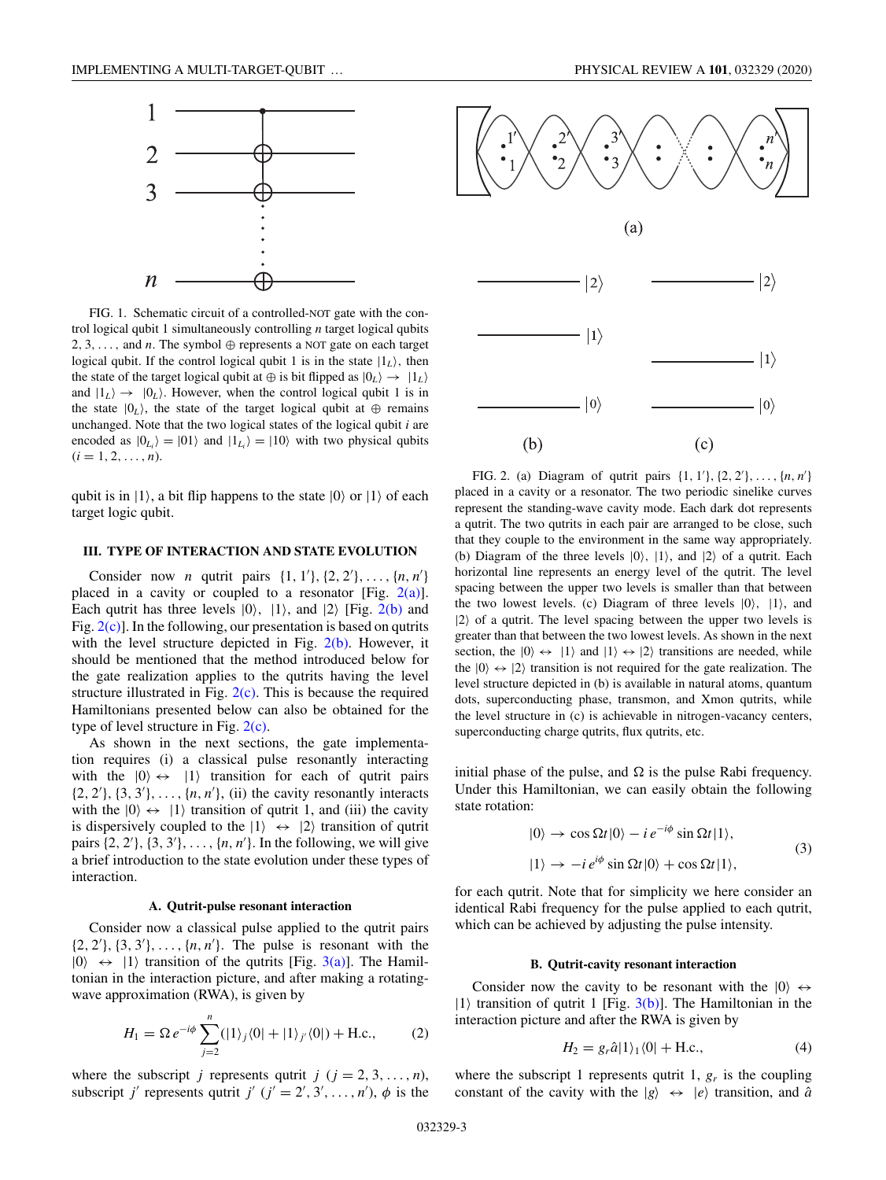<span id="page-2-0"></span>

FIG. 1. Schematic circuit of a controlled-NOT gate with the control logical qubit 1 simultaneously controlling *n* target logical qubits 2, 3, ..., and *n*. The symbol  $\oplus$  represents a NOT gate on each target logical qubit. If the control logical qubit 1 is in the state  $|1_L\rangle$ , then the state of the target logical qubit at  $\oplus$  is bit flipped as  $|0_L\rangle \rightarrow |1_L\rangle$ and  $|1_L\rangle \rightarrow |0_L\rangle$ . However, when the control logical qubit 1 is in the state  $|0_L\rangle$ , the state of the target logical qubit at  $\oplus$  remains unchanged. Note that the two logical states of the logical qubit *i* are encoded as  $|0_{L_i}\rangle = |01\rangle$  and  $|1_{L_i}\rangle = |10\rangle$  with two physical qubits  $(i = 1, 2, \ldots, n).$ 

qubit is in  $|1\rangle$ , a bit flip happens to the state  $|0\rangle$  or  $|1\rangle$  of each target logic qubit.

#### **III. TYPE OF INTERACTION AND STATE EVOLUTION**

Consider now *n* qutrit pairs  $\{1, 1'\}, \{2, 2'\}, \ldots, \{n, n'\}$ placed in a cavity or coupled to a resonator [Fig.  $2(a)$ ]. Each qutrit has three levels  $|0\rangle$ ,  $|1\rangle$ , and  $|2\rangle$  [Fig. 2(b) and Fig.  $2(c)$ ]. In the following, our presentation is based on qutrits with the level structure depicted in Fig.  $2(b)$ . However, it should be mentioned that the method introduced below for the gate realization applies to the qutrits having the level structure illustrated in Fig.  $2(c)$ . This is because the required Hamiltonians presented below can also be obtained for the type of level structure in Fig. 2(c).

As shown in the next sections, the gate implementation requires (i) a classical pulse resonantly interacting with the  $|0\rangle \leftrightarrow |1\rangle$  transition for each of qutrit pairs  $\{2, 2\}$ ,  $\{3, 3\}$ , ...,  $\{n, n'\}$ , (ii) the cavity resonantly interacts with the  $|0\rangle \leftrightarrow |1\rangle$  transition of qutrit 1, and (iii) the cavity is dispersively coupled to the  $|1\rangle \leftrightarrow |2\rangle$  transition of qutrit pairs  $\{2, 2'\}, \{3, 3'\}, \ldots, \{n, n'\}.$  In the following, we will give a brief introduction to the state evolution under these types of interaction.

#### **A. Qutrit-pulse resonant interaction**

Consider now a classical pulse applied to the qutrit pairs  $\{2, 2\}$ ,  $\{3, 3\}$ , ...,  $\{n, n'\}$ . The pulse is resonant with the  $|0\rangle \leftrightarrow |1\rangle$  transition of the qutrits [Fig. [3\(a\)\]](#page-3-0). The Hamiltonian in the interaction picture, and after making a rotatingwave approximation (RWA), is given by

$$
H_1 = \Omega e^{-i\phi} \sum_{j=2}^{n} (|1\rangle_j \langle 0| + |1\rangle_j \langle 0|) + \text{H.c.}, \tag{2}
$$

where the subscript *j* represents qutrit *j*  $(j = 2, 3, \ldots, n)$ , subscript *j'* represents qutrit *j'*  $(j' = 2', 3', ..., n')$ ,  $\phi$  is the



FIG. 2. (a) Diagram of qutrit pairs  $\{1, 1'\}, \{2, 2'\}, \ldots, \{n, n'\}$ placed in a cavity or a resonator. The two periodic sinelike curves represent the standing-wave cavity mode. Each dark dot represents a qutrit. The two qutrits in each pair are arranged to be close, such that they couple to the environment in the same way appropriately. (b) Diagram of the three levels  $|0\rangle$ ,  $|1\rangle$ , and  $|2\rangle$  of a qutrit. Each horizontal line represents an energy level of the qutrit. The level spacing between the upper two levels is smaller than that between the two lowest levels. (c) Diagram of three levels  $|0\rangle$ ,  $|1\rangle$ , and  $|2\rangle$  of a qutrit. The level spacing between the upper two levels is greater than that between the two lowest levels. As shown in the next section, the  $|0\rangle \leftrightarrow |1\rangle$  and  $|1\rangle \leftrightarrow |2\rangle$  transitions are needed, while the  $|0\rangle \leftrightarrow |2\rangle$  transition is not required for the gate realization. The level structure depicted in (b) is available in natural atoms, quantum dots, superconducting phase, transmon, and Xmon qutrits, while the level structure in (c) is achievable in nitrogen-vacancy centers, superconducting charge qutrits, flux qutrits, etc.

initial phase of the pulse, and  $\Omega$  is the pulse Rabi frequency. Under this Hamiltonian, we can easily obtain the following state rotation:

$$
|0\rangle \to \cos \Omega t |0\rangle - i e^{-i\phi} \sin \Omega t |1\rangle,
$$
  

$$
|1\rangle \to -i e^{i\phi} \sin \Omega t |0\rangle + \cos \Omega t |1\rangle,
$$
 (3)

for each qutrit. Note that for simplicity we here consider an identical Rabi frequency for the pulse applied to each qutrit, which can be achieved by adjusting the pulse intensity.

#### **B. Qutrit-cavity resonant interaction**

Consider now the cavity to be resonant with the  $|0\rangle \leftrightarrow$  $|1\rangle$  transition of qutrit 1 [Fig. [3\(b\)\]](#page-3-0). The Hamiltonian in the interaction picture and after the RWA is given by

$$
H_2 = g_r \hat{a} |1\rangle_1 \langle 0| + \text{H.c.},\tag{4}
$$

where the subscript 1 represents qutrit 1,  $g_r$  is the coupling constant of the cavity with the  $|g\rangle \leftrightarrow |e\rangle$  transition, and  $\hat{a}$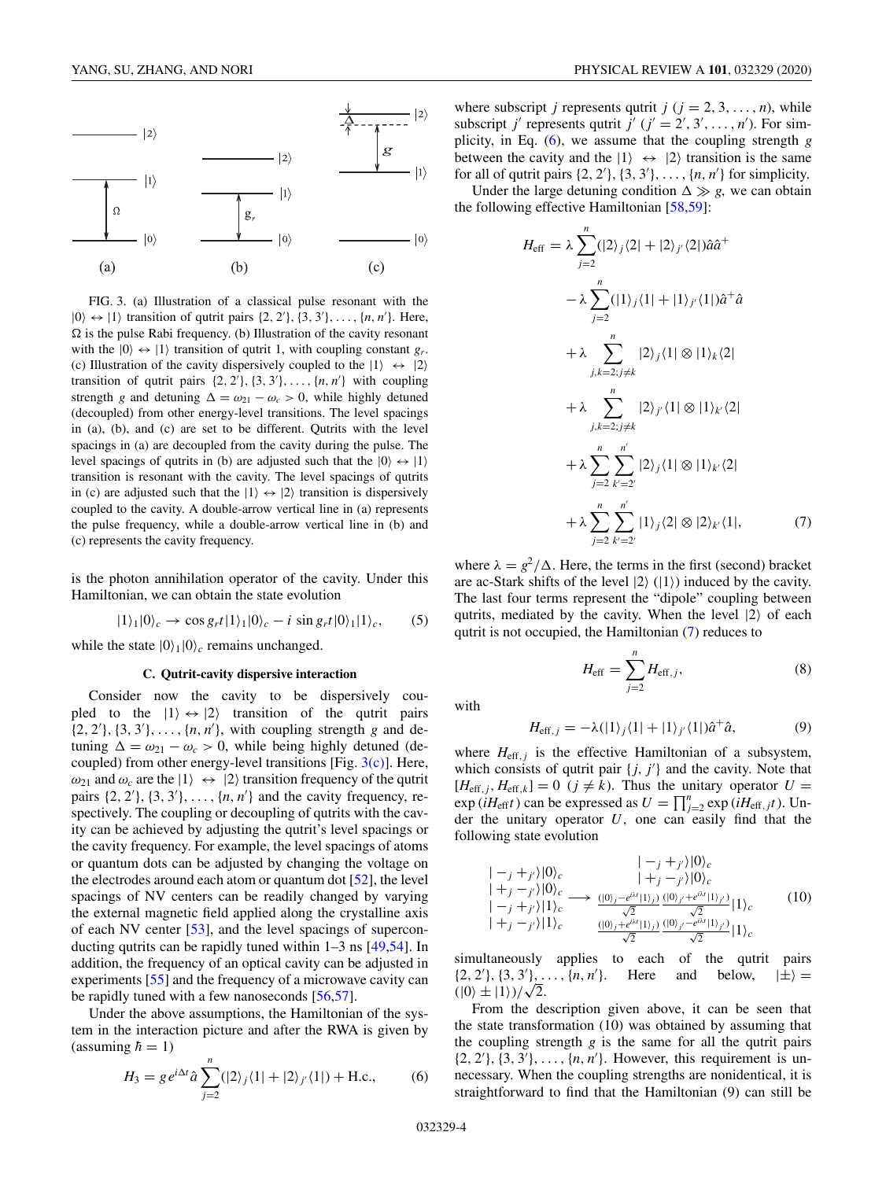<span id="page-3-0"></span>

FIG. 3. (a) Illustration of a classical pulse resonant with the  $|0\rangle \leftrightarrow |1\rangle$  transition of qutrit pairs  $\{2, 2'\}, \{3, 3'\}, \ldots, \{n, n'\}.$  Here,  $\Omega$  is the pulse Rabi frequency. (b) Illustration of the cavity resonant with the  $|0\rangle \leftrightarrow |1\rangle$  transition of qutrit 1, with coupling constant  $g_r$ . (c) Illustration of the cavity dispersively coupled to the  $|1\rangle \leftrightarrow |2\rangle$ transition of qutrit pairs  $\{2, 2\}$ ,  $\{3, 3\}$ , ...,  $\{n, n'\}$  with coupling strength *g* and detuning  $\Delta = \omega_{21} - \omega_c > 0$ , while highly detuned (decoupled) from other energy-level transitions. The level spacings in (a), (b), and (c) are set to be different. Qutrits with the level spacings in (a) are decoupled from the cavity during the pulse. The level spacings of qutrits in (b) are adjusted such that the  $|0\rangle \leftrightarrow |1\rangle$ transition is resonant with the cavity. The level spacings of qutrits in (c) are adjusted such that the  $|1\rangle \leftrightarrow |2\rangle$  transition is dispersively coupled to the cavity. A double-arrow vertical line in (a) represents the pulse frequency, while a double-arrow vertical line in (b) and (c) represents the cavity frequency.

is the photon annihilation operator of the cavity. Under this Hamiltonian, we can obtain the state evolution

$$
|1\rangle_1|0\rangle_c \to \cos g_r t|1\rangle_1|0\rangle_c - i \sin g_r t|0\rangle_1|1\rangle_c, \qquad (5)
$$

while the state  $|0\rangle_1|0\rangle_c$  remains unchanged.

# **C. Qutrit-cavity dispersive interaction**

Consider now the cavity to be dispersively coupled to the  $|1\rangle \leftrightarrow |2\rangle$  transition of the qutrit pairs  $\{2, 2\}$ ,  $\{3, 3\}$ , ...,  $\{n, n'\}$ , with coupling strength *g* and detuning  $\Delta = \omega_{21} - \omega_c > 0$ , while being highly detuned (decoupled) from other energy-level transitions [Fig.  $3(c)$ ]. Here,  $\omega_{21}$  and  $\omega_c$  are the  $|1\rangle \leftrightarrow |2\rangle$  transition frequency of the qutrit pairs  $\{2, 2\}$ ,  $\{3, 3\}$ , ...,  $\{n, n'\}$  and the cavity frequency, respectively. The coupling or decoupling of qutrits with the cavity can be achieved by adjusting the qutrit's level spacings or the cavity frequency. For example, the level spacings of atoms or quantum dots can be adjusted by changing the voltage on the electrodes around each atom or quantum dot [\[52\]](#page-10-0), the level spacings of NV centers can be readily changed by varying the external magnetic field applied along the crystalline axis of each NV center [\[53\]](#page-10-0), and the level spacings of superconducting qutrits can be rapidly tuned within 1–3 ns [\[49,54\]](#page-10-0). In addition, the frequency of an optical cavity can be adjusted in experiments [\[55\]](#page-10-0) and the frequency of a microwave cavity can be rapidly tuned with a few nanoseconds [\[56,57\]](#page-10-0).

Under the above assumptions, the Hamiltonian of the system in the interaction picture and after the RWA is given by (assuming  $\hbar = 1$ )

$$
H_3 = g e^{i\Delta t} \hat{a} \sum_{j=2}^n (|2\rangle_j \langle 1| + |2\rangle_{j'} \langle 1|) + \text{H.c.}, \tag{6}
$$

where subscript *j* represents qutrit *j* ( $j = 2, 3, \ldots, n$ ), while subscript *j'* represents qutrit  $j'$  ( $j' = 2', 3', ..., n'$ ). For simplicity, in Eq. (6), we assume that the coupling strength *g* between the cavity and the  $|1\rangle \leftrightarrow |2\rangle$  transition is the same for all of qutrit pairs  $\{2, 2'\}, \{3, 3'\}, \ldots, \{n, n'\}$  for simplicity.

Under the large detuning condition  $\Delta \gg g$ , we can obtain the following effective Hamiltonian [\[58,59\]](#page-11-0):

$$
H_{\text{eff}} = \lambda \sum_{j=2}^{n} (|2)_j \langle 2| + |2 \rangle_{j'} \langle 2|) \hat{a} \hat{a}^+
$$
  
\n
$$
- \lambda \sum_{j=2}^{n} (|1)_j \langle 1| + |1 \rangle_{j'} \langle 1|) \hat{a}^+ \hat{a}
$$
  
\n
$$
+ \lambda \sum_{j,k=2; j \neq k}^{n} |2 \rangle_j \langle 1| \otimes |1 \rangle_k \langle 2|
$$
  
\n
$$
+ \lambda \sum_{j,k=2; j \neq k}^{n} |2 \rangle_{j'} \langle 1| \otimes |1 \rangle_{k'} \langle 2|
$$
  
\n
$$
+ \lambda \sum_{j=2}^{n} \sum_{k'=2'}^{n'} |2 \rangle_j \langle 1| \otimes |1 \rangle_{k'} \langle 2|
$$
  
\n
$$
+ \lambda \sum_{j=2}^{n} \sum_{k'=2'}^{n'} |1 \rangle_j \langle 2| \otimes |2 \rangle_{k'} \langle 1|,
$$
 (7)

where  $\lambda = g^2/\Delta$ . Here, the terms in the first (second) bracket are ac-Stark shifts of the level  $|2\rangle$  ( $|1\rangle$ ) induced by the cavity. The last four terms represent the "dipole" coupling between qutrits, mediated by the cavity. When the level  $|2\rangle$  of each qutrit is not occupied, the Hamiltonian (7) reduces to

$$
H_{\rm eff} = \sum_{j=2}^{n} H_{\rm eff,j},
$$
\n(8)

with

$$
H_{\text{eff},j} = -\lambda (|1\rangle_j \langle 1| + |1\rangle_{j'} \langle 1|) \hat{a}^{\dagger} \hat{a}, \tag{9}
$$

where  $H_{\text{eff},j}$  is the effective Hamiltonian of a subsystem, which consists of qutrit pair  $\{j, j'\}$  and the cavity. Note that  $[H_{\text{eff},j}, H_{\text{eff},k}] = 0$  ( $j \neq k$ ). Thus the unitary operator  $U =$  $\exp(iH_{\text{eff}}t)$  can be expressed as  $U = \prod_{j=2}^{n} \exp(iH_{\text{eff},j}t)$ . Under the unitary operator *U*, one can easily find that the following state evolution

$$
\| -_{j} +_{j'} \rangle |0\rangle_{c} \qquad \qquad | -_{j} +_{j'} \rangle |0\rangle_{c} \n| +_{j} -_{j'} \rangle |0\rangle_{c} \qquad \qquad | +_{j} -_{j'} \rangle |0\rangle_{c} \n| -_{j} +_{j'} \rangle |1\rangle_{c} \longrightarrow \frac{\langle |0\rangle_{j} - e^{i\lambda t} |1\rangle_{j} \rangle \langle |0\rangle_{j'} + e^{i\lambda t} |1\rangle_{j'}}{\sqrt{2} \sqrt{2}} |1\rangle_{c} \qquad \qquad (10) \n| +_{j} -_{j'} \rangle |1\rangle_{c} \qquad \frac{\langle |0\rangle_{j} + e^{i\lambda t} |1\rangle_{j} \rangle \langle |0\rangle_{j'} - e^{i\lambda t} |1\rangle_{j'}}{\sqrt{2}} |1\rangle_{c}
$$

simultaneously applies to each of the qutrit pairs  $\{2, 2\}, \{3, 3\}, \ldots, \{n, n'\}.$  Here and below,  $|\pm\rangle$  $\ket{\pm} =$  $\{2, 2\}, \{3, 3\}, \ldots$ <br>( $|0\rangle \pm |1\rangle$ )/ $\sqrt{2}$ .

From the description given above, it can be seen that the state transformation (10) was obtained by assuming that the coupling strength *g* is the same for all the qutrit pairs  $\{2, 2\}, \{3, 3\}, \ldots, \{n, n'\}.$  However, this requirement is unnecessary. When the coupling strengths are nonidentical, it is straightforward to find that the Hamiltonian (9) can still be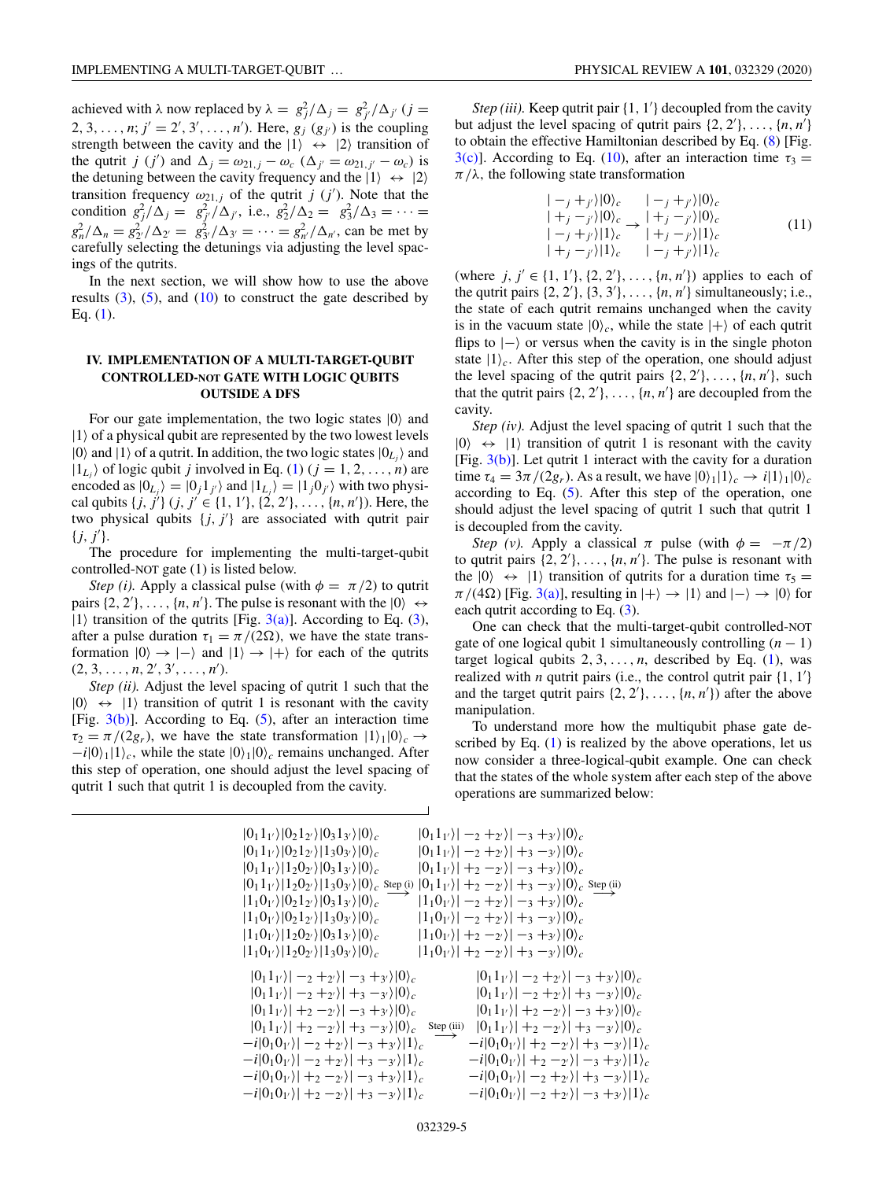<span id="page-4-0"></span>achieved with  $\lambda$  now replaced by  $\lambda = g_j^2 / \Delta_j = g_{j'}^2 / \Delta_{j'}$  (*j* = 2, 3, ..., *n*;  $j' = 2', 3', ..., n'$ ). Here,  $g_j(g_{j'})$  is the coupling strength between the cavity and the  $|1\rangle \leftrightarrow |2\rangle$  transition of the qutrit *j* (*j'*) and  $\Delta_j = \omega_{21,j} - \omega_c$  ( $\Delta_{j'} = \omega_{21,j'} - \omega_c$ ) is the detuning between the cavity frequency and the  $|1\rangle \leftrightarrow |2\rangle$ transition frequency  $\omega_{21,j}$  of the qutrit *j* (*j'*). Note that the condition  $g_j^2/\Delta_j = g_{j'}^2/\Delta_{j'}$ , i.e.,  $g_2^2/\Delta_2 = g_3^2/\Delta_3 = \cdots$  $g_n^2/\Delta_n = g_{2'}^2/\Delta_{2'} = g_{3'}^2/\Delta_{3'} = \cdots = g_{n'}^2/\Delta_{n'}$ , can be met by carefully selecting the detunings via adjusting the level spacings of the qutrits.

In the next section, we will show how to use the above results  $(3)$ ,  $(5)$ , and  $(10)$  to construct the gate described by Eq.  $(1)$ .

# **IV. IMPLEMENTATION OF A MULTI-TARGET-QUBIT CONTROLLED-NOT GATE WITH LOGIC QUBITS OUTSIDE A DFS**

For our gate implementation, the two logic states  $|0\rangle$  and (1) of a physical qubit are represented by the two lowest levels  $|0\rangle$  and  $|1\rangle$  of a qutrit. In addition, the two logic states  $|0_{L_j}\rangle$  and  $|1_{L_j}\rangle$  of logic qubit *j* involved in Eq. [\(1\)](#page-1-0) ( $j = 1, 2, ..., n$ ) are encoded as  $|0_{L_j}\rangle = |0_j 1_{j'}\rangle$  and  $|1_{L_j}\rangle = |1_j 0_{j'}\rangle$  with two physical qubits  $\{j, j'\}$   $(j, j' \in \{1, 1'\}, \{2, 2'\}, \ldots, \{n, n'\}$ ). Here, the two physical qubits  $\{j, j'\}$  are associated with qutrit pair  $\{j, j'\}.$ 

The procedure for implementing the multi-target-qubit controlled-NOT gate (1) is listed below.

*Step (i).* Apply a classical pulse (with  $\phi = \pi/2$ ) to qutrit pairs  $\{2, 2'\}, \ldots, \{n, n'\}$ . The pulse is resonant with the  $|0\rangle \leftrightarrow$  $|1\rangle$  transition of the qutrits [Fig. [3\(a\)\]](#page-3-0). According to Eq. [\(3\)](#page-2-0), after a pulse duration  $\tau_1 = \pi/(2\Omega)$ , we have the state transformation  $|0\rangle \rightarrow |-\rangle$  and  $|1\rangle \rightarrow |+\rangle$  for each of the qutrits  $(2, 3, \ldots, n, 2', 3', \ldots, n')$ .

*Step (ii).* Adjust the level spacing of qutrit 1 such that the  $|0\rangle \leftrightarrow |1\rangle$  transition of qutrit 1 is resonant with the cavity [Fig.  $3(b)$ ]. According to Eq. [\(5\)](#page-3-0), after an interaction time  $\tau_2 = \pi/(2g_r)$ , we have the state transformation  $|1\rangle_1|0\rangle_c \rightarrow$  $-i|0\rangle_1|1\rangle_c$ , while the state  $|0\rangle_1|0\rangle_c$  remains unchanged. After this step of operation, one should adjust the level spacing of qutrit 1 such that qutrit 1 is decoupled from the cavity.

*Step (iii).* Keep qutrit pair {1, 1 } decoupled from the cavity but adjust the level spacing of qutrit pairs  $\{2, 2'\}, \ldots, \{n, n'\}$ to obtain the effective Hamiltonian described by Eq. [\(8\)](#page-3-0) [Fig. [3\(c\)\]](#page-3-0). According to Eq. [\(10\)](#page-3-0), after an interaction time  $\tau_3 =$  $\pi/\lambda$ , the following state transformation

$$
| -j + j \rangle |0\rangle_c | -j + j \rangle |0\rangle_c \n| +j -j \rangle |0\rangle_c \rightarrow | +j -j \rangle |0\rangle_c \n| -j +j \rangle |1\rangle_c \rightarrow | +j -j \rangle |1\rangle_c \n| +j -j \rangle |1\rangle_c | -j +j \rangle |1\rangle_c
$$
\n(11)

(where  $j, j' \in \{1, 1'\}, \{2, 2'\}, \ldots, \{n, n'\}\)$  applies to each of the qutrit pairs  $\{2, 2'\}, \{3, 3'\}, \ldots, \{n, n'\}$  simultaneously; i.e., the state of each qutrit remains unchanged when the cavity is in the vacuum state  $|0\rangle_c$ , while the state  $|+\rangle$  of each qutrit flips to  $|-\rangle$  or versus when the cavity is in the single photon state  $|1\rangle_c$ . After this step of the operation, one should adjust the level spacing of the qutrit pairs  $\{2, 2'\}, \ldots, \{n, n'\},$  such that the qutrit pairs  $\{2, 2'\}, \ldots, \{n, n'\}$  are decoupled from the cavity.

*Step (iv).* Adjust the level spacing of qutrit 1 such that the  $|0\rangle \leftrightarrow |1\rangle$  transition of qutrit 1 is resonant with the cavity [Fig.  $3(b)$ ]. Let qutrit 1 interact with the cavity for a duration time  $\tau_4 = 3\pi/(2g_r)$ . As a result, we have  $|0\rangle_1|1\rangle_c \rightarrow i|1\rangle_1|0\rangle_c$ according to Eq. [\(5\)](#page-3-0). After this step of the operation, one should adjust the level spacing of qutrit 1 such that qutrit 1 is decoupled from the cavity.

*Step (v).* Apply a classical  $\pi$  pulse (with  $\phi = -\pi/2$ ) to qutrit pairs  $\{2, 2'\}, \ldots, \{n, n'\}$ . The pulse is resonant with the  $|0\rangle \leftrightarrow |1\rangle$  transition of qutrits for a duration time  $\tau_5 =$  $\pi/(4\Omega)$  [Fig. [3\(a\)\]](#page-3-0), resulting in  $|+\rangle \rightarrow |1\rangle$  and  $|-\rangle \rightarrow |0\rangle$  for each qutrit according to Eq. [\(3\)](#page-2-0).

One can check that the multi-target-qubit controlled-NOT gate of one logical qubit 1 simultaneously controlling  $(n - 1)$ target logical qubits  $2, 3, \ldots, n$ , described by Eq. [\(1\)](#page-1-0), was realized with  $n$  qutrit pairs (i.e., the control qutrit pair  $\{1, 1'\}$ and the target qutrit pairs  $\{2, 2'\}, \ldots, \{n, n'\}\)$  after the above manipulation.

To understand more how the multiqubit phase gate de-scribed by Eq. [\(1\)](#page-1-0) is realized by the above operations, let us now consider a three-logical-qubit example. One can check that the states of the whole system after each step of the above operations are summarized below:

$$
|0_{11_{1}1_{1}0_{2}1_{2}1_{3}0_{3}1_{0}\rangle_{c} |0_{11_{1}1_{1}0_{2}1_{2}0_{1}1_{3}0_{3}0_{1}\rangle_{c} |0_{11_{1}1_{1}0_{2}1_{2}0_{2}1_{1}0_{3}0_{3}0_{1}\rangle_{c} |0_{11_{1}1_{1}0_{2}1_{2}0_{2}1_{1}0_{3}0_{3}0_{1}\rangle_{c} |0_{11_{1}1_{1}0_{2}1_{2}0_{2}1_{2}0_{2}1_{2}0_{3}1_{3}0_{1}\rangle_{c} |0_{11_{1}1_{1}0_{2}1_{2}0_{2}1_{2}0_{2}1_{2}0_{2}\rangle_{c} |0_{11_{1}0_{1}1_{1}0_{2}1_{2}0_{2}1_{2}0_{2}1_{2}0_{2}\rangle_{c} |0_{11_{1}0_{1}1_{1}0_{2}1_{2}0_{2}1_{2}0_{3}1_{3}0_{1}\rangle_{c} |0_{11_{1}0_{1}1_{1}0_{2}1_{2}0_{2}1_{2}0_{2}1_{2}0_{2}\rangle_{c} |0_{11_{1}0_{1}0_{1}1_{2}0_{2}1_{2}0_{2}1_{2}0_{2}\rangle_{c} |0_{11_{1}0_{1}0_{1}1_{2}0_{2}1_{2}0_{2}1_{2}0_{1}\rangle_{c} |1_{10_{1}0_{1}0_{1}1_{2}0_{2}1_{2}0_{1}0_{3}1_{3}\rangle_{c} |0_{1_{1}0_{1}0_{1}1_{2}0_{2}1_{2}0_{1}0_{3}1_{3}\rangle_{c} |0_{1_{1}0_{1}0_{1}1_{2}0_{2}1_{2}0_{1}0_{3}1_{3}\rangle_{c} |0_{1_{1}0_{1}0_{1}1_{2}0_{2}1_{2}0_{2}1_{2}0_{2}\rangle_{c} |1_{10_{1}0_{1}1_{1}0_{2}1_{2}0_{2}1_{2}0_{2}\rangle |0_{2_{1}0_{1}0_{1}1_{2}0_{2}1_{2}0_{2}\rangle_{c} |1_{10_{1}0_{1}11_{2}0_{2}1
$$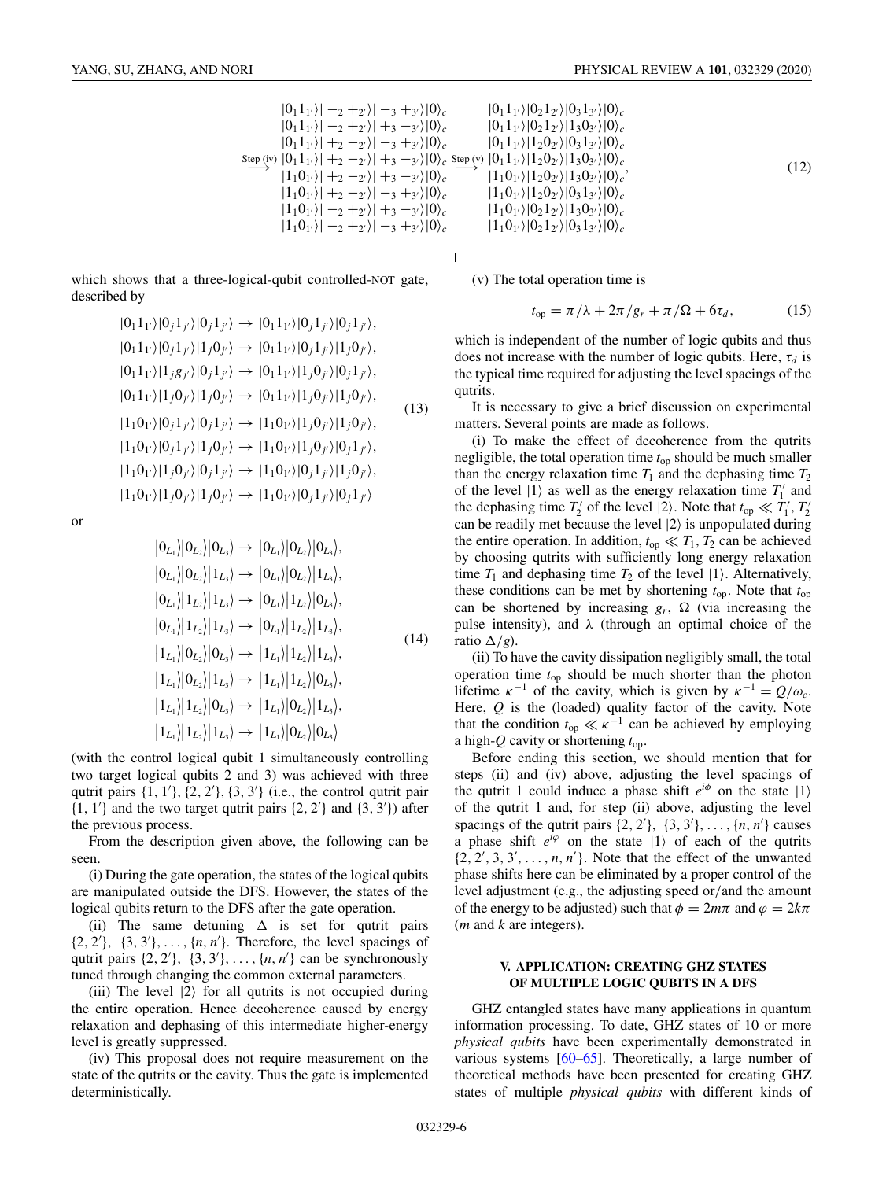<span id="page-5-0"></span>Step (iv) −→ |0111-| −<sup>2</sup> +2-| −<sup>3</sup> +3-|0*c* |0111-| −<sup>2</sup> +2-| +<sup>3</sup> −3-|0*c* |0111-| +<sup>2</sup> −2-| −<sup>3</sup> +3-|0*c* |0111-| +<sup>2</sup> −2-| +<sup>3</sup> −3-|0*c* |1101-| +<sup>2</sup> −2-| +<sup>3</sup> −3-|0*c* |1101-| +<sup>2</sup> −2-| −<sup>3</sup> +3-|0*c* |1101-| −<sup>2</sup> +2-| +<sup>3</sup> −3-|0*c* |1101-| −<sup>2</sup> +2-| −<sup>3</sup> +3-|0*c* Step (v) −→ |0111-|0212-|0313-|0*c* |0111-|0212-|1303-|0*c* |0111-|1202-|0313-|0*c* |0111-|1202-|1303-|0*c* |1101-|1202-|1303-|0*c* |1101-|1202-|0313-|0*c* |1101-|0212-|1303-|0*c* |1101-|0212-|0313-|0*c* , (12)

which shows that a three-logical-qubit controlled-NOT gate, described by

$$
|0_{1}1_{i'}|0_{j}1_{j'}|0_{j}1_{j'}\rangle \rightarrow |0_{1}1_{i'}|0_{j}1_{j'}|0_{j}1_{j'}\rangle, \n|0_{1}1_{i'}|0_{j}1_{j'}|1_{j}0_{j'}\rangle \rightarrow |0_{1}1_{i'}|0_{j}1_{j'}|1_{j}0_{j'}\rangle, \n|0_{1}1_{i'}|1_{j}g_{j'}|0_{j}1_{j'}\rangle \rightarrow |0_{1}1_{i'}|1_{j}0_{j'}|0_{j}1_{j'}\rangle, \n|0_{1}1_{i'}|1_{j}g_{j'}|0_{j}1_{j'}\rangle \rightarrow |0_{1}1_{i'}|1_{j}0_{j'}|0_{j}1_{j'}\rangle, \n|0_{1}1_{i'}|1_{j}0_{j'}|1_{j}0_{j'}\rangle \rightarrow |0_{1}1_{i'}|1_{j}0_{j'}|1_{j}0_{j'}\rangle, \n|1_{1}0_{i'}|0_{j}1_{j'}|0_{j}1_{j'}\rangle \rightarrow |1_{1}0_{i'}|1_{j}0_{j'}|1_{j}0_{j'}\rangle, \n|1_{1}0_{i'}|0_{j}1_{j'}|1_{j}0_{j'}\rangle \rightarrow |1_{1}0_{i'}|1_{j}0_{j'}|0_{j}1_{j'}\rangle, \n|1_{1}0_{i'}|1_{j}0_{j'}|0_{j}1_{j'}\rangle \rightarrow |1_{1}0_{i'}|0_{j}1_{j'}|1_{j}0_{j'}\rangle, \n|1_{1}0_{i'}|1_{j}0_{j'}|1_{j}0_{j'}\rangle \rightarrow |1_{1}0_{i'}|0_{j}1_{j'}|0_{j}1_{j'}\rangle
$$

or

$$
|0_{L_1}\rangle |0_{L_2}\rangle |0_{L_3}\rangle \rightarrow |0_{L_1}\rangle |0_{L_2}\rangle |0_{L_3}\rangle, \n|0_{L_1}\rangle |0_{L_2}\rangle |1_{L_3}\rangle \rightarrow |0_{L_1}\rangle |0_{L_2}\rangle |1_{L_3}\rangle, \n|0_{L_1}\rangle |1_{L_2}\rangle |1_{L_3}\rangle \rightarrow |0_{L_1}\rangle |1_{L_2}\rangle |0_{L_3}\rangle, \n|0_{L_1}\rangle |1_{L_2}\rangle |1_{L_3}\rangle \rightarrow |0_{L_1}\rangle |1_{L_2}\rangle |1_{L_3}\rangle, \n|1_{L_1}\rangle |0_{L_2}\rangle |0_{L_3}\rangle \rightarrow |1_{L_1}\rangle |1_{L_2}\rangle |1_{L_3}\rangle, \n|1_{L_1}\rangle |0_{L_2}\rangle |1_{L_3}\rangle \rightarrow |1_{L_1}\rangle |1_{L_2}\rangle |0_{L_3}\rangle, \n|1_{L_1}\rangle |1_{L_2}\rangle |0_{L_3}\rangle \rightarrow |1_{L_1}\rangle |0_{L_2}\rangle |1_{L_3}\rangle, \n|1_{L_1}\rangle |1_{L_2}\rangle |1_{L_3}\rangle \rightarrow |1_{L_1}\rangle |0_{L_2}\rangle |0_{L_3}\rangle
$$

(with the control logical qubit 1 simultaneously controlling two target logical qubits 2 and 3) was achieved with three qutrit pairs  $\{1, 1'\}, \{2, 2'\}, \{3, 3'\}$  (i.e., the control qutrit pair  $\{1, 1'\}$  and the two target qutrit pairs  $\{2, 2'\}$  and  $\{3, 3'\}$ ) after the previous process.

From the description given above, the following can be seen.

(i) During the gate operation, the states of the logical qubits are manipulated outside the DFS. However, the states of the logical qubits return to the DFS after the gate operation.

(ii) The same detuning  $\Delta$  is set for qutrit pairs  $\{2, 2\}$ ,  $\{3, 3\}$ , ...,  $\{n, n'\}$ . Therefore, the level spacings of qutrit pairs  $\{2, 2'\}, \{3, 3'\}, \ldots, \{n, n'\}$  can be synchronously tuned through changing the common external parameters.

(iii) The level  $|2\rangle$  for all qutrits is not occupied during the entire operation. Hence decoherence caused by energy relaxation and dephasing of this intermediate higher-energy level is greatly suppressed.

(iv) This proposal does not require measurement on the state of the qutrits or the cavity. Thus the gate is implemented deterministically.

(v) The total operation time is

$$
t_{\rm op} = \pi/\lambda + 2\pi/g_r + \pi/\Omega + 6\tau_d, \tag{15}
$$

which is independent of the number of logic qubits and thus does not increase with the number of logic qubits. Here, τ*<sup>d</sup>* is the typical time required for adjusting the level spacings of the qutrits.

It is necessary to give a brief discussion on experimental matters. Several points are made as follows.

(i) To make the effect of decoherence from the qutrits negligible, the total operation time *t*op should be much smaller than the energy relaxation time  $T_1$  and the dephasing time  $T_2$ of the level  $|1\rangle$  as well as the energy relaxation time  $T'_1$  and the dephasing time  $T_2'$  of the level  $|2\rangle$ . Note that  $t_{op} \ll \dot{T}_1', T_2'$ can be readily met because the level  $|2\rangle$  is unpopulated during the entire operation. In addition,  $t_{op} \ll T_1, T_2$  can be achieved by choosing qutrits with sufficiently long energy relaxation time  $T_1$  and dephasing time  $T_2$  of the level  $|1\rangle$ . Alternatively, these conditions can be met by shortening *t*op. Note that *t*op can be shortened by increasing  $g_r$ ,  $\Omega$  (via increasing the pulse intensity), and  $\lambda$  (through an optimal choice of the ratio  $\Delta/g$ ).

(ii) To have the cavity dissipation negligibly small, the total operation time *t*op should be much shorter than the photon lifetime  $\kappa^{-1}$  of the cavity, which is given by  $\kappa^{-1} = Q/\omega_c$ . Here, *Q* is the (loaded) quality factor of the cavity. Note that the condition  $t_{op} \ll \kappa^{-1}$  can be achieved by employing a high-*Q* cavity or shortening *t*op.

Before ending this section, we should mention that for steps (ii) and (iv) above, adjusting the level spacings of the qutrit 1 could induce a phase shift  $e^{i\phi}$  on the state  $|1\rangle$ of the qutrit 1 and, for step (ii) above, adjusting the level spacings of the qutrit pairs  $\{2, 2'\}, \{3, 3'\}, \ldots, \{n, n'\}$  causes a phase shift  $e^{i\varphi}$  on the state  $|1\rangle$  of each of the qutrits  $\{2, 2', 3, 3', \ldots, n, n'\}$ . Note that the effect of the unwanted phase shifts here can be eliminated by a proper control of the level adjustment (e.g., the adjusting speed or/and the amount of the energy to be adjusted) such that  $\phi = 2m\pi$  and  $\varphi = 2k\pi$ (*m* and *k* are integers).

### **V. APPLICATION: CREATING GHZ STATES OF MULTIPLE LOGIC QUBITS IN A DFS**

GHZ entangled states have many applications in quantum information processing. To date, GHZ states of 10 or more *physical qubits* have been experimentally demonstrated in various systems [\[60–65\]](#page-11-0). Theoretically, a large number of theoretical methods have been presented for creating GHZ states of multiple *physical qubits* with different kinds of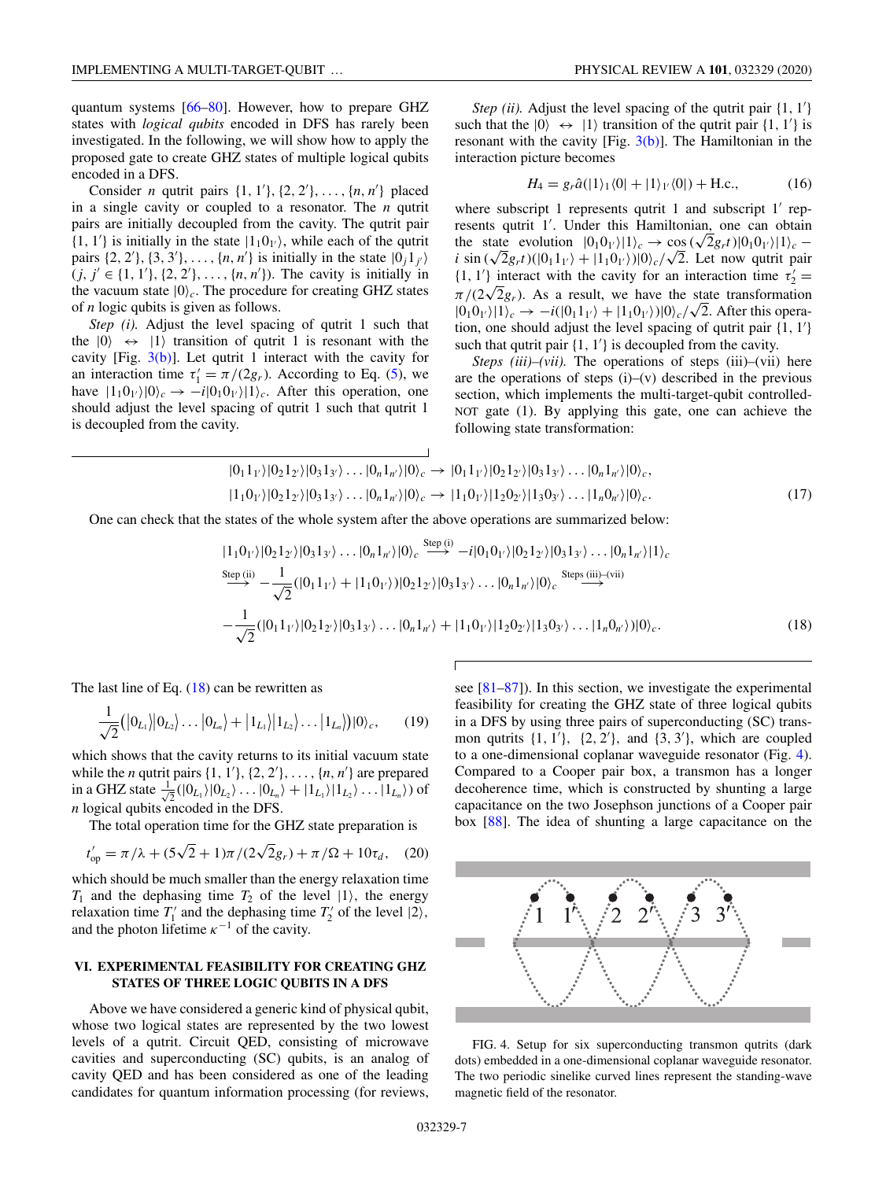<span id="page-6-0"></span>quantum systems [\[66–80\]](#page-11-0). However, how to prepare GHZ states with *logical qubits* encoded in DFS has rarely been investigated. In the following, we will show how to apply the proposed gate to create GHZ states of multiple logical qubits encoded in a DFS.

Consider *n* qutrit pairs  $\{1, 1'\}, \{2, 2'\}, \ldots, \{n, n'\}$  placed in a single cavity or coupled to a resonator. The *n* qutrit pairs are initially decoupled from the cavity. The qutrit pair  $\{1, 1'\}$  is initially in the state  $|1_10_1\rangle$ , while each of the qutrit pairs  $\{2, 2'\}, \{3, 3'\}, \ldots, \{n, n'\}$  is initially in the state  $|0_j 1_{j'}\rangle$  $(j, j' \in \{1, 1'\}, \{2, 2'\}, \ldots, \{n, n'\})$ . The cavity is initially in the vacuum state  $|0\rangle_c$ . The procedure for creating GHZ states of *n* logic qubits is given as follows.

*Step (i).* Adjust the level spacing of qutrit 1 such that the  $|0\rangle \leftrightarrow |1\rangle$  transition of qutrit 1 is resonant with the cavity [Fig.  $3(b)$ ]. Let qutrit 1 interact with the cavity for an interaction time  $\tau'_1 = \pi/(2g_r)$ . According to Eq. [\(5\)](#page-3-0), we have  $|1_10_1\rangle|0\rangle_c \rightarrow -i|0_10_1\rangle|1\rangle_c$ . After this operation, one should adjust the level spacing of qutrit 1 such that qutrit 1 is decoupled from the cavity.

Step (ii). Adjust the level spacing of the qutrit pair {1, 1'} such that the  $|0\rangle \leftrightarrow |1\rangle$  transition of the qutrit pair {1, 1'} is resonant with the cavity [Fig.  $3(b)$ ]. The Hamiltonian in the interaction picture becomes

$$
H_4 = g_r \hat{a}(|1\rangle_1 \langle 0| + |1\rangle_{1'} \langle 0|) + \text{H.c.},
$$
 (16)

where subscript 1 represents qutrit 1 and subscript  $1'$  represents qutrit 1 . Under this Hamiltonian, one can obtain resents quirit 1'. Under this Hamiltonian, one can obtain<br>the state evolution  $|0_1 0_{\rm l'}\rangle |1\rangle_c \rightarrow \cos(\sqrt{2}g_r t)|0_1 0_{\rm l'}\rangle |1\rangle_c$ the state evolution  $|0_1 0_{1'} \rangle |1\rangle_c \rightarrow \cos(\sqrt{2g_r t}) |0_1 0_{1'} \rangle |1\rangle_c - i \sin(\sqrt{2g_r t}) (|0_1 1_{1'} \rangle + |1_1 0_{1'} \rangle |0\rangle_c/\sqrt{2}$ . Let now qutrit pair  $\{1, 1'\}$  interact with the cavity for an interaction time  $\tau_2' =$  $\pi/(2\sqrt{2}g_r)$ . As a result, we have the state transformation  $\pi/(2\sqrt{2g_r})$ . As a result, we have the state transformation  $|0_10_{1'}\rangle|1\rangle_c \rightarrow -i(|0_11_{1'}\rangle+|1_10_{1'}\rangle)|0\rangle_c/\sqrt{2}$ . After this operation, one should adjust the level spacing of qutrit pair {1, 1 } such that qutrit pair {1, 1 } is decoupled from the cavity.

*Steps (iii)–(vii).* The operations of steps (iii)–(vii) here are the operations of steps  $(i)$ – $(v)$  described in the previous section, which implements the multi-target-qubit controlled-NOT gate (1). By applying this gate, one can achieve the following state transformation:

$$
\frac{|0_1 1_{1'}|0_2 1_{2'}|0_3 1_{3'}| \dots |0_n 1_{n'}|0_0}{|1_1 0_{1'}|0_2 1_{2'}|0_3 1_{3'}| \dots |0_n 1_{n'}|0_0} \rightarrow |0_1 1_{1'}|0_2 1_{2'}|0_3 1_{3'}| \dots |0_n 1_{n'}|0_0
$$
\n
$$
\frac{|1_1 0_{1'}|0_2 1_{2'}|0_3 1_{3'}| \dots |0_n 1_{n'}|0_0} \rightarrow |1_1 0_{1'}|1_2 0_{2'}|1_3 0_{3'}| \dots |1_n 0_{n'}|0_0
$$
\n
$$
(17)
$$

One can check that the states of the whole system after the above operations are summarized below:

 $\overline{\phantom{a}}$ 

$$
\begin{split}\n&|1_{1}0_{1'}\rangle|0_{2}1_{2'}\rangle|0_{3}1_{3'}\rangle\ldots|0_{n}1_{n'}\rangle|0\rangle_{c} \xrightarrow{\text{Step (i)}} -i|0_{1}0_{1'}\rangle|0_{2}1_{2'}\rangle|0_{3}1_{3'}\rangle\ldots|0_{n}1_{n'}\rangle|1\rangle_{c} \\
&\xrightarrow{\text{Step (ii)}} -\frac{1}{\sqrt{2}}(|0_{1}1_{1'}\rangle+|1_{1}0_{1'}\rangle)|0_{2}1_{2'}\rangle|0_{3}1_{3'}\rangle\ldots|0_{n}1_{n'}\rangle|0\rangle_{c} \xrightarrow{\text{Step (iii)} -\text{(vii)}} \\
&-\frac{1}{\sqrt{2}}(|0_{1}1_{1'}\rangle|0_{2}1_{2'}\rangle|0_{3}1_{3'}\rangle\ldots|0_{n}1_{n'}\rangle+|1_{1}0_{1'}\rangle|1_{2}0_{2'}\rangle|1_{3}0_{3'}\rangle\ldots|1_{n}0_{n'}\rangle)|0\rangle_{c}.\n\end{split} \tag{18}
$$

The last line of Eq.  $(18)$  can be rewritten as

$$
\frac{1}{\sqrt{2}}\big(|0_{L_1}\rangle|0_{L_2}\rangle\ldots|0_{L_n}\rangle+|1_{L_1}\rangle|1_{L_2}\rangle\ldots|1_{L_n}\rangle|0\rangle_c,\qquad(19)
$$

which shows that the cavity returns to its initial vacuum state while the *n* qutrit pairs  $\{1, 1'\}, \{2, 2'\}, \ldots, \{n, n'\}$  are prepared in a GHZ state  $\frac{1}{\sqrt{2}}(|0_{L_1}||0_{L_2}\rangle \dots |0_{L_n}\rangle + |1_{L_1}\rangle |1_{L_2}\rangle \dots |1_{L_n}\rangle)$  of *n* logical qubits encoded in the DFS.

The total operation time for the GHZ state preparation is

$$
t'_{op} = \pi/\lambda + (5\sqrt{2} + 1)\pi/(2\sqrt{2}g_r) + \pi/\Omega + 10\tau_d, \quad (20)
$$

which should be much smaller than the energy relaxation time  $T_1$  and the dephasing time  $T_2$  of the level  $|1\rangle$ , the energy relaxation time  $T_1'$  and the dephasing time  $T_2'$  of the level  $|2\rangle$ , and the photon lifetime  $\kappa^{-1}$  of the cavity.

## **VI. EXPERIMENTAL FEASIBILITY FOR CREATING GHZ STATES OF THREE LOGIC QUBITS IN A DFS**

Above we have considered a generic kind of physical qubit, whose two logical states are represented by the two lowest levels of a qutrit. Circuit QED, consisting of microwave cavities and superconducting (SC) qubits, is an analog of cavity QED and has been considered as one of the leading candidates for quantum information processing (for reviews,

see [\[81–87\]](#page-11-0)). In this section, we investigate the experimental feasibility for creating the GHZ state of three logical qubits in a DFS by using three pairs of superconducting (SC) transmon qutrits  $\{1, 1'\}$ ,  $\{2, 2'\}$ , and  $\{3, 3'\}$ , which are coupled to a one-dimensional coplanar waveguide resonator (Fig. 4). Compared to a Cooper pair box, a transmon has a longer decoherence time, which is constructed by shunting a large capacitance on the two Josephson junctions of a Cooper pair box [\[88\]](#page-11-0). The idea of shunting a large capacitance on the



FIG. 4. Setup for six superconducting transmon qutrits (dark dots) embedded in a one-dimensional coplanar waveguide resonator. The two periodic sinelike curved lines represent the standing-wave magnetic field of the resonator.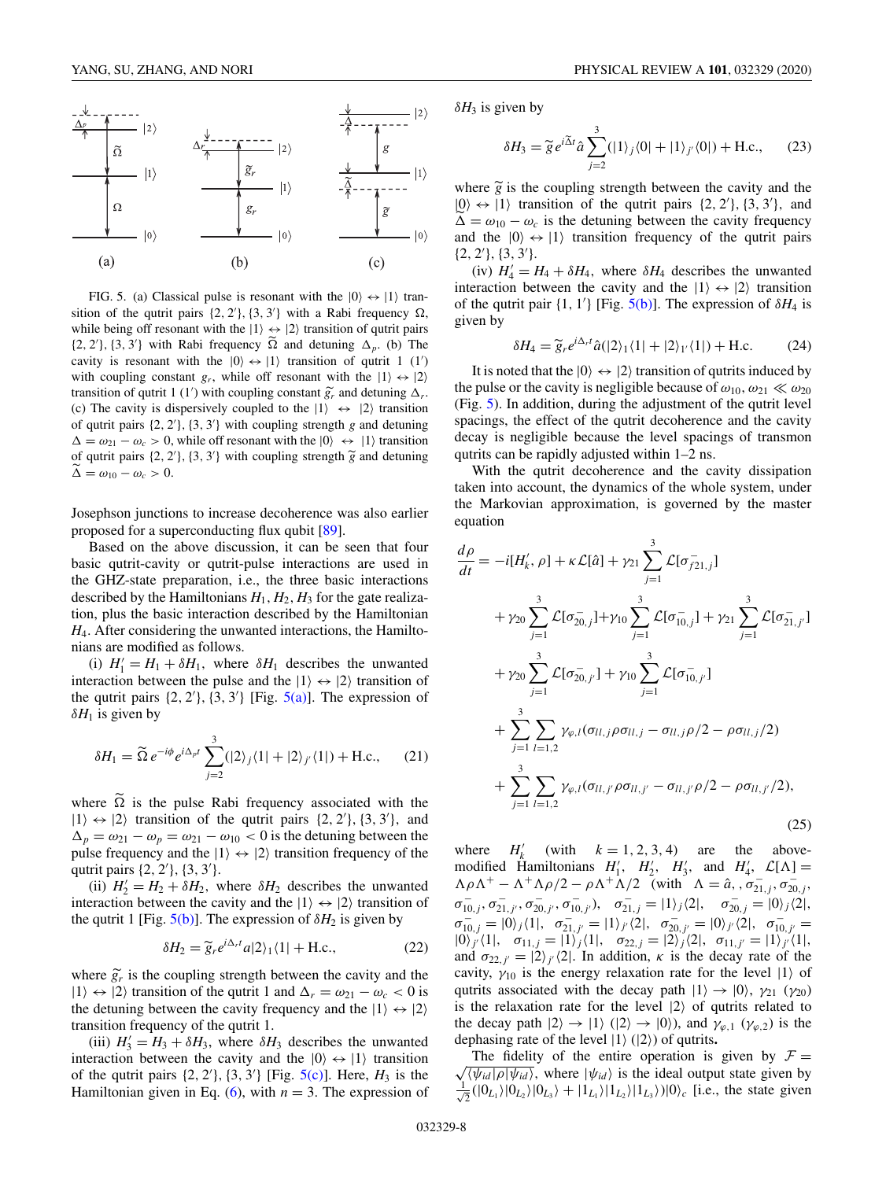<span id="page-7-0"></span>

FIG. 5. (a) Classical pulse is resonant with the  $|0\rangle \leftrightarrow |1\rangle$  transition of the qutrit pairs  $\{2, 2'\}, \{3, 3'\}$  with a Rabi frequency  $\Omega$ , while being off resonant with the  $|1\rangle \leftrightarrow |2\rangle$  transition of qutrit pairs  $\{2, 2'\}, \{3, 3'\}$  with Rabi frequency  $\tilde{\Omega}$  and detuning  $\Delta_p$ . (b) The cavity is resonant with the  $|0\rangle \leftrightarrow |1\rangle$  transition of qutrit 1 (1') with coupling constant  $g_r$ , while off resonant with the  $|1\rangle \leftrightarrow |2\rangle$ transition of qutrit 1 (1') with coupling constant  $\widetilde{g}_r$  and detuning  $\Delta_r$ . (c) The cavity is dispersively coupled to the  $|1\rangle \leftrightarrow |2\rangle$  transition of qutrit pairs {2, 2 },{3, 3 } with coupling strength *g* and detuning  $\Delta = \omega_{21} - \omega_c > 0$ , while off resonant with the  $|0\rangle \leftrightarrow |1\rangle$  transition of qutrit pairs  $\{2, 2'\}$ ,  $\{3, 3'\}$  with coupling strength  $\tilde{g}$  and detuning  $\widetilde{\Delta} = \omega_{10} - \omega_c > 0.$ 

Josephson junctions to increase decoherence was also earlier proposed for a superconducting flux qubit [\[89\]](#page-11-0).

Based on the above discussion, it can be seen that four basic qutrit-cavity or qutrit-pulse interactions are used in the GHZ-state preparation, i.e., the three basic interactions described by the Hamiltonians  $H_1$ ,  $H_2$ ,  $H_3$  for the gate realization, plus the basic interaction described by the Hamiltonian *H*4. After considering the unwanted interactions, the Hamiltonians are modified as follows.

(i)  $H'_1 = H_1 + \delta H_1$ , where  $\delta H_1$  describes the unwanted interaction between the pulse and the  $|1\rangle \leftrightarrow |2\rangle$  transition of the qutrit pairs  $\{2, 2'\}, \{3, 3'\}$  [Fig. 5(a)]. The expression of  $\delta H_1$  is given by

$$
\delta H_1 = \widetilde{\Omega} e^{-i\phi} e^{i\Delta_p t} \sum_{j=2}^3 (2\gamma_j \langle 1| + |2\rangle_{j'} \langle 1|) + \text{H.c.}, \qquad (21)
$$

where  $\Omega$  is the pulse Rabi frequency associated with the  $|1\rangle \leftrightarrow |2\rangle$  transition of the qutrit pairs  $\{2, 2'\}, \{3, 3'\},$  and  $\Delta_p = \omega_{21} - \omega_p = \omega_{21} - \omega_{10} < 0$  is the detuning between the pulse frequency and the  $|1\rangle \leftrightarrow |2\rangle$  transition frequency of the qutrit pairs {2, 2'}, {3, 3'}.

(ii)  $H_2' = H_2 + \delta H_2$ , where  $\delta H_2$  describes the unwanted interaction between the cavity and the  $|1\rangle \leftrightarrow |2\rangle$  transition of the qutrit 1 [Fig.  $5(b)$ ]. The expression of  $\delta H_2$  is given by

$$
\delta H_2 = \tilde{g}_r e^{i\Delta_r t} a|2\rangle_1 \langle 1| + \text{H.c.},\tag{22}
$$

where  $\tilde{g}_r$  is the coupling strength between the cavity and the  $|1\rangle$  ↔  $|2\rangle$  transition of the qutrit 1 and  $\Delta_r = \omega_{21} - \omega_c < 0$  is the detuning between the cavity frequency and the  $|1\rangle \leftrightarrow |2\rangle$ transition frequency of the qutrit 1.

(iii)  $H_3' = H_3 + \delta H_3$ , where  $\delta H_3$  describes the unwanted interaction between the cavity and the  $|0\rangle \leftrightarrow |1\rangle$  transition of the qutrit pairs  $\{2, 2'\}, \{3, 3'\}$  [Fig. 5(c)]. Here,  $H_3$  is the Hamiltonian given in Eq.  $(6)$ , with  $n = 3$ . The expression of  $\delta H_3$  is given by

$$
\delta H_3 = \widetilde{g} e^{i\widetilde{\Delta}t} \hat{a} \sum_{j=2}^3 (|1\rangle_j \langle 0| + |1\rangle_{j'} \langle 0|) + \text{H.c.}, \qquad (23)
$$

where  $\tilde{g}$  is the coupling strength between the cavity and the  $|0\rangle \leftrightarrow |1\rangle$  transition of the qutrit pairs  $\{2, 2'\}, \{3, 3'\},$  and  $\Delta = \omega_{10} - \omega_c$  is the detuning between the cavity frequency and the  $|0\rangle \leftrightarrow |1\rangle$  transition frequency of the qutrit pairs  ${2, 2', 3, 3'}.$ 

(iv)  $H_4' = H_4 + \delta H_4$ , where  $\delta H_4$  describes the unwanted interaction between the cavity and the  $|1\rangle \leftrightarrow |2\rangle$  transition of the qutrit pair  $\{1, 1'\}$  [Fig. 5(b)]. The expression of  $\delta H_4$  is given by

$$
\delta H_4 = \widetilde{g}_r e^{i\Delta_r t} \hat{a}(|2\rangle_1 \langle 1| + |2\rangle_{1'} \langle 1|) + \text{H.c.}
$$
 (24)

It is noted that the  $|0\rangle \leftrightarrow |2\rangle$  transition of qutrits induced by the pulse or the cavity is negligible because of  $\omega_{10}, \omega_{21} \ll \omega_{20}$ (Fig. 5). In addition, during the adjustment of the qutrit level spacings, the effect of the qutrit decoherence and the cavity decay is negligible because the level spacings of transmon qutrits can be rapidly adjusted within 1–2 ns.

With the qutrit decoherence and the cavity dissipation taken into account, the dynamics of the whole system, under the Markovian approximation, is governed by the master equation

$$
\frac{d\rho}{dt} = -i[H'_k, \rho] + \kappa \mathcal{L}[\hat{a}] + \gamma_{21} \sum_{j=1}^3 \mathcal{L}[\sigma_{f21,j}^-]
$$
\n
$$
+ \gamma_{20} \sum_{j=1}^3 \mathcal{L}[\sigma_{20,j}^-] + \gamma_{10} \sum_{j=1}^3 \mathcal{L}[\sigma_{10,j}^-] + \gamma_{21} \sum_{j=1}^3 \mathcal{L}[\sigma_{21,j'}^-]
$$
\n
$$
+ \gamma_{20} \sum_{j=1}^3 \mathcal{L}[\sigma_{20,j'}^-] + \gamma_{10} \sum_{j=1}^3 \mathcal{L}[\sigma_{10,j'}^-]
$$
\n
$$
+ \sum_{j=1}^3 \sum_{l=1,2} \gamma_{\varphi,l}(\sigma_{ll,j}\rho\sigma_{ll,j} - \sigma_{ll,j}\rho/2 - \rho\sigma_{ll,j}/2)
$$
\n
$$
+ \sum_{j=1}^3 \sum_{l=1,2} \gamma_{\varphi,l}(\sigma_{ll,j}\rho\sigma_{ll,j'} - \sigma_{ll,j}\rho/2 - \rho\sigma_{ll,j'}/2), \qquad (25)
$$

where  $H'_h$ (with  $k = 1, 2, 3, 4$ ) are the abovemodified Hamiltonians  $H'_1$ ,  $H'_2$ ,  $H'_3$ , and  $H'_4$ ,  $\mathcal{L}[\Lambda] =$  $\Lambda \rho \Lambda^+ - \Lambda^+ \Lambda \rho / 2 - \rho \Lambda^+ \Lambda / 2$  (with  $\Lambda = \hat{a}, \overline{a}_{21,j}^-, \overline{a}_{20,j}^-,$  $\sigma_{10,j}^{-}, \sigma_{21,j'}^{-}, \sigma_{20,j'}^{-}, \sigma_{10,j'}^{-}$ ,  $\sigma_{21,j}^{-} = |1\rangle_j\langle2|, \quad \sigma_{20,j}^{-} = |0\rangle_j\langle2|,$  $\sigma_{10,j}^- = |0\rangle_j\langle1|, \sigma_{21,j'}^- = |1\rangle_j\langle2|, \sigma_{20,j'}^- = |0\rangle_j\langle2|, \sigma_{10,j'}^- =$  $|0 \rangle_j^{\prime\prime} \langle 1|, \quad \sigma_{11,j} = |1 \rangle_j^{\prime} \langle 1|, \quad \sigma_{22,j} = |2 \rangle_j^{\prime} \langle 2|, \quad \sigma_{11,j'} = |1 \rangle_j^{\prime} \langle 1|,$ and  $\sigma_{22,j'} = |2\rangle_{j'}\langle 2|$ . In addition,  $\kappa$  is the decay rate of the cavity,  $\gamma_{10}$  is the energy relaxation rate for the level  $|1\rangle$  of qutrits associated with the decay path  $|1\rangle \rightarrow |0\rangle$ ,  $\gamma_{21}$  ( $\gamma_{20}$ ) is the relaxation rate for the level  $|2\rangle$  of qutrits related to the decay path  $|2\rangle \rightarrow |1\rangle$  ( $|2\rangle \rightarrow |0\rangle$ ), and  $\gamma_{\varphi,1}$  ( $\gamma_{\varphi,2}$ ) is the dephasing rate of the level  $|1\rangle$  ( $|2\rangle$ ) of qutrits.

The identy of the entire operation is given by  $\mathcal{F} = \sqrt{\langle \psi_{id} | \rho | \psi_{id} \rangle}$ , where  $|\psi_{id}\rangle$  is the ideal output state given by The fidelity of the entire operation is given by  $\mathcal{F} =$  $\frac{1}{\sqrt{2}}(|0_{L_1}|/|0_{L_2}|/|0_{L_3}\rangle + |1_{L_1}\rangle|1_{L_2}\rangle|1_{L_3}\rangle)|0\rangle_c$  [i.e., the state given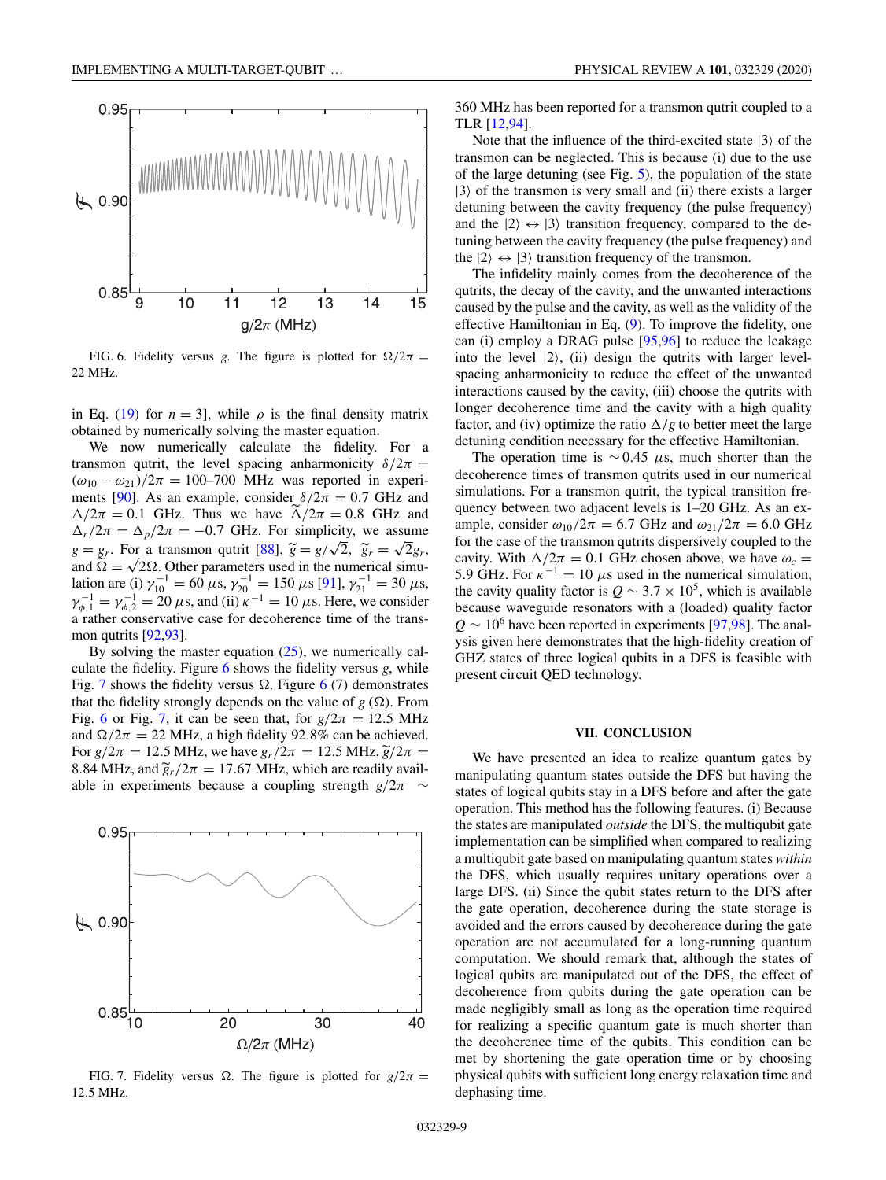<span id="page-8-0"></span>

FIG. 6. Fidelity versus *g*. The figure is plotted for  $\Omega/2\pi =$ 22 MHz.

in Eq. [\(19\)](#page-6-0) for  $n = 3$ ], while  $\rho$  is the final density matrix obtained by numerically solving the master equation.

We now numerically calculate the fidelity. For a transmon qutrit, the level spacing anharmonicity  $\delta/2\pi$  =  $(\omega_{10} - \omega_{21})/2\pi = 100-700$  MHz was reported in experi-ments [\[90\]](#page-11-0). As an example, consider  $\delta/2\pi = 0.7$  GHz and  $\Delta/2\pi = 0.1$  GHz. Thus we have  $\Delta/2\pi = 0.8$  GHz and  $\Delta_r/2\pi = \Delta_p/2\pi = -0.7$  GHz. For simplicity, we assume  $g = g_r$ . For a transmon qutrit [\[88\]](#page-11-0),  $\tilde{g} = g/\sqrt{2}$ ,  $\tilde{g}_r = \sqrt{2}g_r$ ,  $g = g_r$ . For a transmon qutrit [88],  $g = g/\sqrt{2}$ ,  $g_r = \sqrt{2}g_r$ ,<br>and  $\Omega = \sqrt{2}\Omega$ . Other parameters used in the numerical simulation are (i)  $\gamma_{10}^{-1} = 60 \,\mu s$ ,  $\gamma_{20}^{-1} = 150 \,\mu s$  [\[91\]](#page-11-0),  $\gamma_{21}^{-1} = 30 \,\mu s$ ,  $\gamma_{\phi,1}^{-1} = \gamma_{\phi,2}^{-1} = 20 \,\mu$ s, and (ii)  $\kappa^{-1} = 10 \,\mu$ s. Here, we consider a rather conservative case for decoherence time of the transmon qutrits [\[92,93\]](#page-11-0).

By solving the master equation  $(25)$ , we numerically calculate the fidelity. Figure 6 shows the fidelity versus *g*, while Fig. 7 shows the fidelity versus  $\Omega$ . Figure 6 (7) demonstrates that the fidelity strongly depends on the value of  $g(\Omega)$ . From Fig. 6 or Fig. 7, it can be seen that, for  $g/2\pi = 12.5$  MHz and  $\Omega/2\pi = 22$  MHz, a high fidelity 92.8% can be achieved. For  $g/2\pi = 12.5$  MHz, we have  $g_r/2\pi = 12.5$  MHz,  $\tilde{g}/2\pi =$ 8.84 MHz, and  $\tilde{g}_r/2\pi = 17.67$  MHz, which are readily available in experiments because a coupling strength  $g/2\pi \sim$ 



FIG. 7. Fidelity versus  $\Omega$ . The figure is plotted for  $g/2\pi$  = 12.5 MHz.

360 MHz has been reported for a transmon qutrit coupled to a TLR [\[12](#page-9-0)[,94\]](#page-12-0).

Note that the influence of the third-excited state  $|3\rangle$  of the transmon can be neglected. This is because (i) due to the use of the large detuning (see Fig. [5\)](#page-7-0), the population of the state  $|3\rangle$  of the transmon is very small and (ii) there exists a larger detuning between the cavity frequency (the pulse frequency) and the  $|2\rangle \leftrightarrow |3\rangle$  transition frequency, compared to the detuning between the cavity frequency (the pulse frequency) and the  $|2\rangle \leftrightarrow |3\rangle$  transition frequency of the transmon.

The infidelity mainly comes from the decoherence of the qutrits, the decay of the cavity, and the unwanted interactions caused by the pulse and the cavity, as well as the validity of the effective Hamiltonian in Eq. [\(9\)](#page-3-0). To improve the fidelity, one can (i) employ a DRAG pulse [\[95,96\]](#page-12-0) to reduce the leakage into the level  $|2\rangle$ , (ii) design the qutrits with larger levelspacing anharmonicity to reduce the effect of the unwanted interactions caused by the cavity, (iii) choose the qutrits with longer decoherence time and the cavity with a high quality factor, and (iv) optimize the ratio  $\Delta/g$  to better meet the large detuning condition necessary for the effective Hamiltonian.

The operation time is  $\sim 0.45 \mu s$ , much shorter than the decoherence times of transmon qutrits used in our numerical simulations. For a transmon qutrit, the typical transition frequency between two adjacent levels is 1–20 GHz. As an example, consider  $\omega_{10}/2\pi = 6.7$  GHz and  $\omega_{21}/2\pi = 6.0$  GHz for the case of the transmon qutrits dispersively coupled to the cavity. With  $\Delta/2\pi = 0.1$  GHz chosen above, we have  $\omega_c =$ 5.9 GHz. For  $\kappa^{-1} = 10 \mu s$  used in the numerical simulation, the cavity quality factor is  $Q \sim 3.7 \times 10^5$ , which is available because waveguide resonators with a (loaded) quality factor  $Q \sim 10^6$  have been reported in experiments [\[97,98\]](#page-12-0). The analysis given here demonstrates that the high-fidelity creation of GHZ states of three logical qubits in a DFS is feasible with present circuit QED technology.

### **VII. CONCLUSION**

We have presented an idea to realize quantum gates by manipulating quantum states outside the DFS but having the states of logical qubits stay in a DFS before and after the gate operation. This method has the following features. (i) Because the states are manipulated *outside* the DFS, the multiqubit gate implementation can be simplified when compared to realizing a multiqubit gate based on manipulating quantum states *within* the DFS, which usually requires unitary operations over a large DFS. (ii) Since the qubit states return to the DFS after the gate operation, decoherence during the state storage is avoided and the errors caused by decoherence during the gate operation are not accumulated for a long-running quantum computation. We should remark that, although the states of logical qubits are manipulated out of the DFS, the effect of decoherence from qubits during the gate operation can be made negligibly small as long as the operation time required for realizing a specific quantum gate is much shorter than the decoherence time of the qubits. This condition can be met by shortening the gate operation time or by choosing physical qubits with sufficient long energy relaxation time and dephasing time.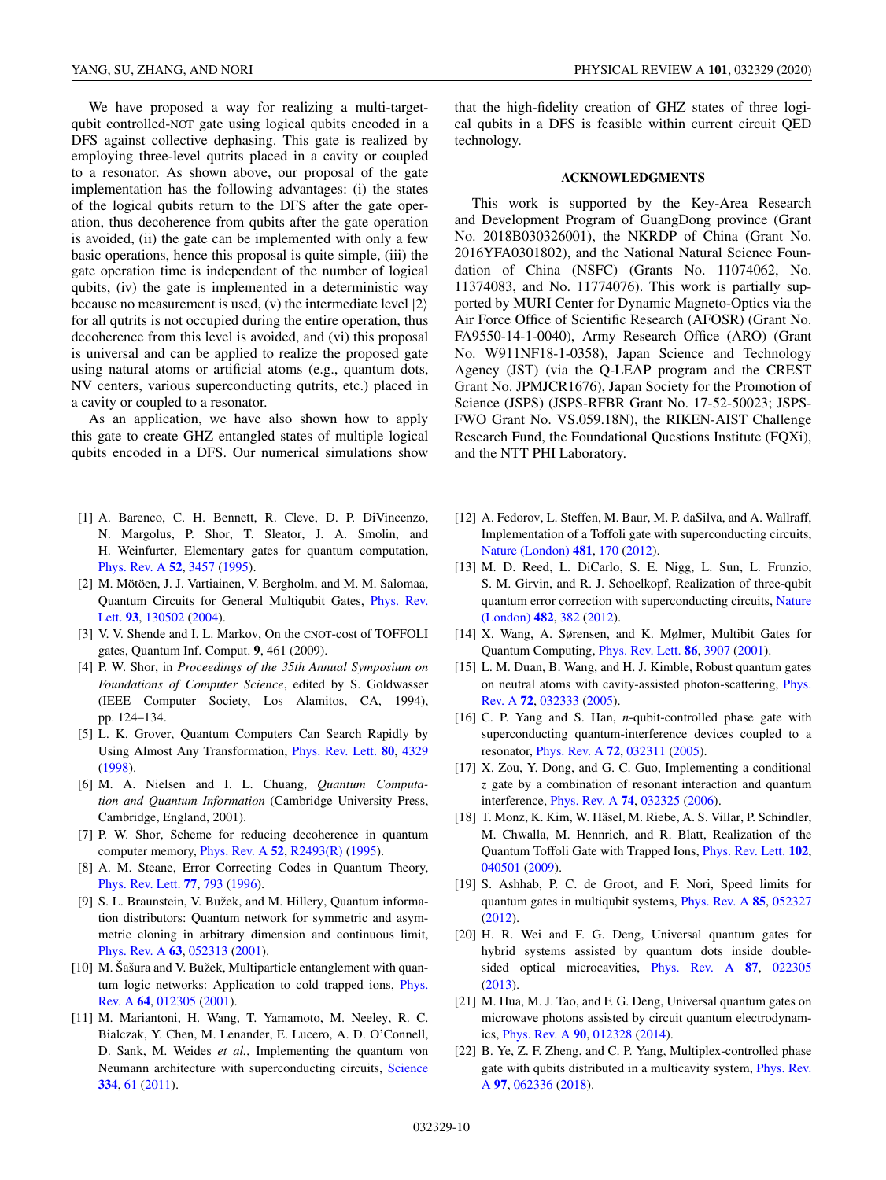<span id="page-9-0"></span>We have proposed a way for realizing a multi-targetqubit controlled-NOT gate using logical qubits encoded in a DFS against collective dephasing. This gate is realized by employing three-level qutrits placed in a cavity or coupled to a resonator. As shown above, our proposal of the gate implementation has the following advantages: (i) the states of the logical qubits return to the DFS after the gate operation, thus decoherence from qubits after the gate operation is avoided, (ii) the gate can be implemented with only a few basic operations, hence this proposal is quite simple, (iii) the gate operation time is independent of the number of logical qubits, (iv) the gate is implemented in a deterministic way because no measurement is used, (v) the intermediate level  $|2\rangle$ for all qutrits is not occupied during the entire operation, thus decoherence from this level is avoided, and (vi) this proposal is universal and can be applied to realize the proposed gate using natural atoms or artificial atoms (e.g., quantum dots, NV centers, various superconducting qutrits, etc.) placed in a cavity or coupled to a resonator.

As an application, we have also shown how to apply this gate to create GHZ entangled states of multiple logical qubits encoded in a DFS. Our numerical simulations show

- [1] A. Barenco, C. H. Bennett, R. Cleve, D. P. DiVincenzo, N. Margolus, P. Shor, T. Sleator, J. A. Smolin, and H. Weinfurter, Elementary gates for quantum computation, [Phys. Rev. A](https://doi.org/10.1103/PhysRevA.52.3457) **[52](https://doi.org/10.1103/PhysRevA.52.3457)**, [3457](https://doi.org/10.1103/PhysRevA.52.3457) [\(1995\)](https://doi.org/10.1103/PhysRevA.52.3457).
- [2] M. Mötöen, J. J. Vartiainen, V. Bergholm, and M. M. Salomaa, [Quantum Circuits for General Multiqubit Gates,](https://doi.org/10.1103/PhysRevLett.93.130502) Phys. Rev. Lett. **[93](https://doi.org/10.1103/PhysRevLett.93.130502)**, [130502](https://doi.org/10.1103/PhysRevLett.93.130502) [\(2004\)](https://doi.org/10.1103/PhysRevLett.93.130502).
- [3] V. V. Shende and I. L. Markov, On the CNOT-cost of TOFFOLI gates, Quantum Inf. Comput. **9**, 461 (2009).
- [4] P. W. Shor, in *Proceedings of the 35th Annual Symposium on Foundations of Computer Science*, edited by S. Goldwasser (IEEE Computer Society, Los Alamitos, CA, 1994), pp. 124–134.
- [5] L. K. Grover, Quantum Computers Can Search Rapidly by Using Almost Any Transformation, [Phys. Rev. Lett.](https://doi.org/10.1103/PhysRevLett.80.4329) **[80](https://doi.org/10.1103/PhysRevLett.80.4329)**, [4329](https://doi.org/10.1103/PhysRevLett.80.4329) [\(1998\)](https://doi.org/10.1103/PhysRevLett.80.4329).
- [6] M. A. Nielsen and I. L. Chuang, *Quantum Computation and Quantum Information* (Cambridge University Press, Cambridge, England, 2001).
- [7] P. W. Shor, Scheme for reducing decoherence in quantum computer memory, [Phys. Rev. A](https://doi.org/10.1103/PhysRevA.52.R2493) **[52](https://doi.org/10.1103/PhysRevA.52.R2493)**, [R2493\(R\)](https://doi.org/10.1103/PhysRevA.52.R2493) [\(1995\)](https://doi.org/10.1103/PhysRevA.52.R2493).
- [8] A. M. Steane, Error Correcting Codes in Quantum Theory, [Phys. Rev. Lett.](https://doi.org/10.1103/PhysRevLett.77.793) **[77](https://doi.org/10.1103/PhysRevLett.77.793)**, [793](https://doi.org/10.1103/PhysRevLett.77.793) [\(1996\)](https://doi.org/10.1103/PhysRevLett.77.793).
- [9] S. L. Braunstein, V. Bužek, and M. Hillery, Quantum information distributors: Quantum network for symmetric and asymmetric cloning in arbitrary dimension and continuous limit, [Phys. Rev. A](https://doi.org/10.1103/PhysRevA.63.052313) **[63](https://doi.org/10.1103/PhysRevA.63.052313)**, [052313](https://doi.org/10.1103/PhysRevA.63.052313) [\(2001\)](https://doi.org/10.1103/PhysRevA.63.052313).
- [10] M. Šašura and V. Bužek, Multiparticle entanglement with quan[tum logic networks: Application to cold trapped ions,](https://doi.org/10.1103/PhysRevA.64.012305) Phys. Rev. A **[64](https://doi.org/10.1103/PhysRevA.64.012305)**, [012305](https://doi.org/10.1103/PhysRevA.64.012305) [\(2001\)](https://doi.org/10.1103/PhysRevA.64.012305).
- [11] M. Mariantoni, H. Wang, T. Yamamoto, M. Neeley, R. C. Bialczak, Y. Chen, M. Lenander, E. Lucero, A. D. O'Connell, D. Sank, M. Weides *et al.*, Implementing the quantum von Neumann architecture with superconducting circuits, [Science](https://doi.org/10.1126/science.1208517) **[334](https://doi.org/10.1126/science.1208517)**, [61](https://doi.org/10.1126/science.1208517) [\(2011\)](https://doi.org/10.1126/science.1208517).

that the high-fidelity creation of GHZ states of three logical qubits in a DFS is feasible within current circuit QED technology.

### **ACKNOWLEDGMENTS**

This work is supported by the Key-Area Research and Development Program of GuangDong province (Grant No. 2018B030326001), the NKRDP of China (Grant No. 2016YFA0301802), and the National Natural Science Foundation of China (NSFC) (Grants No. 11074062, No. 11374083, and No. 11774076). This work is partially supported by MURI Center for Dynamic Magneto-Optics via the Air Force Office of Scientific Research (AFOSR) (Grant No. FA9550-14-1-0040), Army Research Office (ARO) (Grant No. W911NF18-1-0358), Japan Science and Technology Agency (JST) (via the Q-LEAP program and the CREST Grant No. JPMJCR1676), Japan Society for the Promotion of Science (JSPS) (JSPS-RFBR Grant No. 17-52-50023; JSPS-FWO Grant No. VS.059.18N), the RIKEN-AIST Challenge Research Fund, the Foundational Questions Institute (FQXi), and the NTT PHI Laboratory.

- [12] A. Fedorov, L. Steffen, M. Baur, M. P. daSilva, and A. Wallraff, Implementation of a Toffoli gate with superconducting circuits, [Nature \(London\)](https://doi.org/10.1038/nature10713) **[481](https://doi.org/10.1038/nature10713)**, [170](https://doi.org/10.1038/nature10713) [\(2012\)](https://doi.org/10.1038/nature10713).
- [13] M. D. Reed, L. DiCarlo, S. E. Nigg, L. Sun, L. Frunzio, S. M. Girvin, and R. J. Schoelkopf, Realization of three-qubit [quantum error correction with superconducting circuits,](https://doi.org/10.1038/nature10786) Nature (London) **[482](https://doi.org/10.1038/nature10786)**, [382](https://doi.org/10.1038/nature10786) [\(2012\)](https://doi.org/10.1038/nature10786).
- [14] X. Wang, A. Sørensen, and K. Mølmer, Multibit Gates for Quantum Computing, [Phys. Rev. Lett.](https://doi.org/10.1103/PhysRevLett.86.3907) **[86](https://doi.org/10.1103/PhysRevLett.86.3907)**, [3907](https://doi.org/10.1103/PhysRevLett.86.3907) [\(2001\)](https://doi.org/10.1103/PhysRevLett.86.3907).
- [15] L. M. Duan, B. Wang, and H. J. Kimble, Robust quantum gates [on neutral atoms with cavity-assisted photon-scattering,](https://doi.org/10.1103/PhysRevA.72.032333) Phys. Rev. A **[72](https://doi.org/10.1103/PhysRevA.72.032333)**, [032333](https://doi.org/10.1103/PhysRevA.72.032333) [\(2005\)](https://doi.org/10.1103/PhysRevA.72.032333).
- [16] C. P. Yang and S. Han, *n*-qubit-controlled phase gate with superconducting quantum-interference devices coupled to a resonator, [Phys. Rev. A](https://doi.org/10.1103/PhysRevA.72.032311) **[72](https://doi.org/10.1103/PhysRevA.72.032311)**, [032311](https://doi.org/10.1103/PhysRevA.72.032311) [\(2005\)](https://doi.org/10.1103/PhysRevA.72.032311).
- [17] X. Zou, Y. Dong, and G. C. Guo, Implementing a conditional *z* gate by a combination of resonant interaction and quantum interference, [Phys. Rev. A](https://doi.org/10.1103/PhysRevA.74.032325) **[74](https://doi.org/10.1103/PhysRevA.74.032325)**, [032325](https://doi.org/10.1103/PhysRevA.74.032325) [\(2006\)](https://doi.org/10.1103/PhysRevA.74.032325).
- [18] T. Monz, K. Kim, W. Häsel, M. Riebe, A. S. Villar, P. Schindler, M. Chwalla, M. Hennrich, and R. Blatt, Realization of the Quantum Toffoli Gate with Trapped Ions, [Phys. Rev. Lett.](https://doi.org/10.1103/PhysRevLett.102.040501) **[102](https://doi.org/10.1103/PhysRevLett.102.040501)**, [040501](https://doi.org/10.1103/PhysRevLett.102.040501) [\(2009\)](https://doi.org/10.1103/PhysRevLett.102.040501).
- [19] S. Ashhab, P. C. de Groot, and F. Nori, Speed limits for quantum gates in multiqubit systems, [Phys. Rev. A](https://doi.org/10.1103/PhysRevA.85.052327) **[85](https://doi.org/10.1103/PhysRevA.85.052327)**, [052327](https://doi.org/10.1103/PhysRevA.85.052327) [\(2012\)](https://doi.org/10.1103/PhysRevA.85.052327).
- [20] H. R. Wei and F. G. Deng, Universal quantum gates for hybrid systems assisted by quantum dots inside doublesided optical microcavities, [Phys. Rev. A](https://doi.org/10.1103/PhysRevA.87.022305) **[87](https://doi.org/10.1103/PhysRevA.87.022305)**, [022305](https://doi.org/10.1103/PhysRevA.87.022305) [\(2013\)](https://doi.org/10.1103/PhysRevA.87.022305).
- [21] M. Hua, M. J. Tao, and F. G. Deng, Universal quantum gates on microwave photons assisted by circuit quantum electrodynamics, [Phys. Rev. A](https://doi.org/10.1103/PhysRevA.90.012328) **[90](https://doi.org/10.1103/PhysRevA.90.012328)**, [012328](https://doi.org/10.1103/PhysRevA.90.012328) [\(2014\)](https://doi.org/10.1103/PhysRevA.90.012328).
- [22] B. Ye, Z. F. Zheng, and C. P. Yang, Multiplex-controlled phase [gate with qubits distributed in a multicavity system,](https://doi.org/10.1103/PhysRevA.97.062336) Phys. Rev. A **[97](https://doi.org/10.1103/PhysRevA.97.062336)**, [062336](https://doi.org/10.1103/PhysRevA.97.062336) [\(2018\)](https://doi.org/10.1103/PhysRevA.97.062336).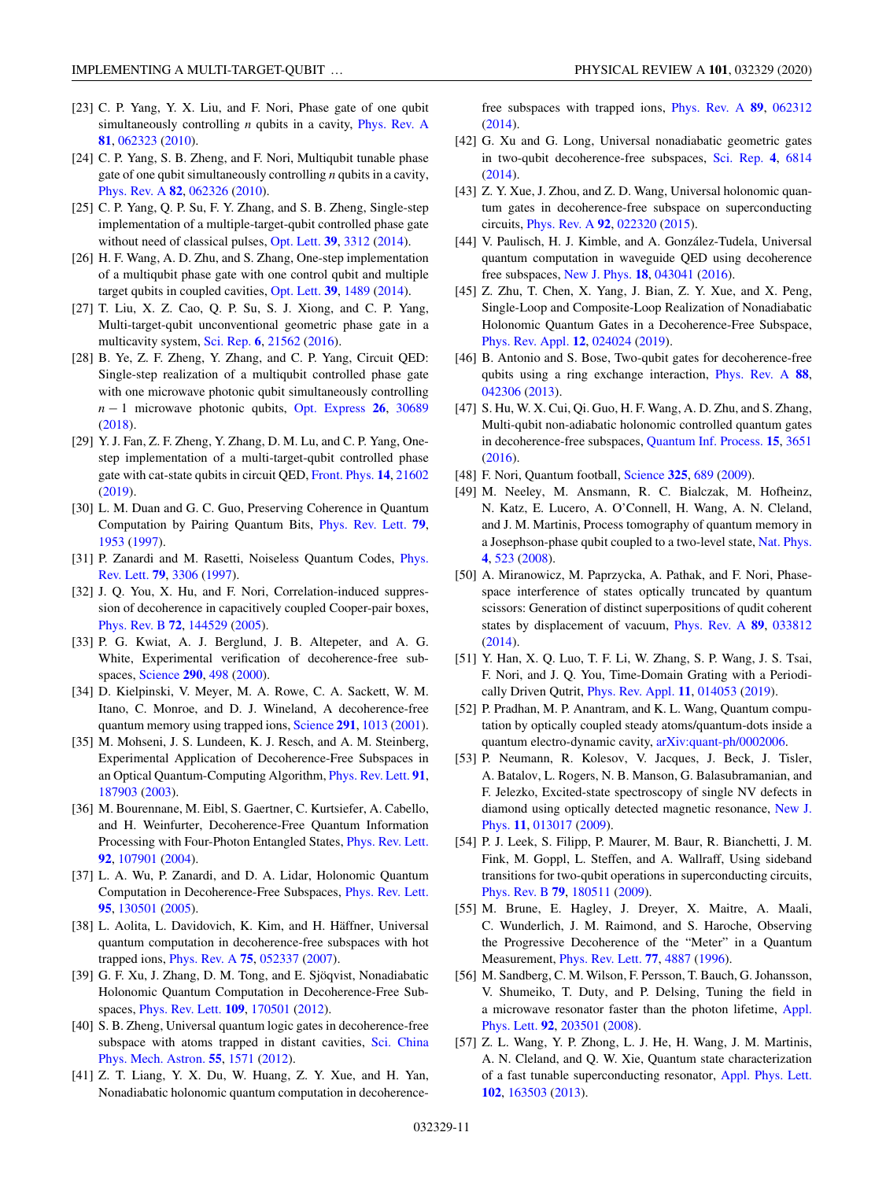- <span id="page-10-0"></span>[23] C. P. Yang, Y. X. Liu, and F. Nori, Phase gate of one qubit simultaneously controlling *n* qubits in a cavity, [Phys. Rev. A](https://doi.org/10.1103/PhysRevA.81.062323) **[81](https://doi.org/10.1103/PhysRevA.81.062323)**, [062323](https://doi.org/10.1103/PhysRevA.81.062323) [\(2010\)](https://doi.org/10.1103/PhysRevA.81.062323).
- [24] C. P. Yang, S. B. Zheng, and F. Nori, Multiqubit tunable phase gate of one qubit simultaneously controlling *n* qubits in a cavity, [Phys. Rev. A](https://doi.org/10.1103/PhysRevA.82.062326) **[82](https://doi.org/10.1103/PhysRevA.82.062326)**, [062326](https://doi.org/10.1103/PhysRevA.82.062326) [\(2010\)](https://doi.org/10.1103/PhysRevA.82.062326).
- [25] C. P. Yang, Q. P. Su, F. Y. Zhang, and S. B. Zheng, Single-step implementation of a multiple-target-qubit controlled phase gate without need of classical pulses, [Opt. Lett.](https://doi.org/10.1364/OL.39.003312) **[39](https://doi.org/10.1364/OL.39.003312)**, [3312](https://doi.org/10.1364/OL.39.003312) [\(2014\)](https://doi.org/10.1364/OL.39.003312).
- [26] H. F. Wang, A. D. Zhu, and S. Zhang, One-step implementation of a multiqubit phase gate with one control qubit and multiple target qubits in coupled cavities, [Opt. Lett.](https://doi.org/10.1364/OL.39.001489) **[39](https://doi.org/10.1364/OL.39.001489)**, [1489](https://doi.org/10.1364/OL.39.001489) [\(2014\)](https://doi.org/10.1364/OL.39.001489).
- [27] T. Liu, X. Z. Cao, Q. P. Su, S. J. Xiong, and C. P. Yang, Multi-target-qubit unconventional geometric phase gate in a multicavity system, [Sci. Rep.](https://doi.org/10.1038/srep21562) **[6](https://doi.org/10.1038/srep21562)**, [21562](https://doi.org/10.1038/srep21562) [\(2016\)](https://doi.org/10.1038/srep21562).
- [28] B. Ye, Z. F. Zheng, Y. Zhang, and C. P. Yang, Circuit QED: Single-step realization of a multiqubit controlled phase gate with one microwave photonic qubit simultaneously controlling *n* − 1 microwave photonic qubits, [Opt. Express](https://doi.org/10.1364/OE.26.030689) **[26](https://doi.org/10.1364/OE.26.030689)**, [30689](https://doi.org/10.1364/OE.26.030689) [\(2018\)](https://doi.org/10.1364/OE.26.030689).
- [29] Y. J. Fan, Z. F. Zheng, Y. Zhang, D. M. Lu, and C. P. Yang, Onestep implementation of a multi-target-qubit controlled phase gate with cat-state qubits in circuit QED, [Front. Phys.](https://doi.org/10.1007/s11467-018-0875-y) **[14](https://doi.org/10.1007/s11467-018-0875-y)**, [21602](https://doi.org/10.1007/s11467-018-0875-y) [\(2019\)](https://doi.org/10.1007/s11467-018-0875-y).
- [30] L. M. Duan and G. C. Guo, Preserving Coherence in Quantum Computation by Pairing Quantum Bits, [Phys. Rev. Lett.](https://doi.org/10.1103/PhysRevLett.79.1953) **[79](https://doi.org/10.1103/PhysRevLett.79.1953)**, [1953](https://doi.org/10.1103/PhysRevLett.79.1953) [\(1997\)](https://doi.org/10.1103/PhysRevLett.79.1953).
- [31] [P. Zanardi and M. Rasetti, Noiseless Quantum Codes,](https://doi.org/10.1103/PhysRevLett.79.3306) *Phys.* Rev. Lett. **[79](https://doi.org/10.1103/PhysRevLett.79.3306)**, [3306](https://doi.org/10.1103/PhysRevLett.79.3306) [\(1997\)](https://doi.org/10.1103/PhysRevLett.79.3306).
- [32] J. Q. You, X. Hu, and F. Nori, Correlation-induced suppression of decoherence in capacitively coupled Cooper-pair boxes, [Phys. Rev. B](https://doi.org/10.1103/PhysRevB.72.144529) **[72](https://doi.org/10.1103/PhysRevB.72.144529)**, [144529](https://doi.org/10.1103/PhysRevB.72.144529) [\(2005\)](https://doi.org/10.1103/PhysRevB.72.144529).
- [33] P. G. Kwiat, A. J. Berglund, J. B. Altepeter, and A. G. White, Experimental verification of decoherence-free subspaces, [Science](https://doi.org/10.1126/science.290.5491.498) **[290](https://doi.org/10.1126/science.290.5491.498)**, [498](https://doi.org/10.1126/science.290.5491.498) [\(2000\)](https://doi.org/10.1126/science.290.5491.498).
- [34] D. Kielpinski, V. Meyer, M. A. Rowe, C. A. Sackett, W. M. Itano, C. Monroe, and D. J. Wineland, A decoherence-free quantum memory using trapped ions, [Science](https://doi.org/10.1126/science.1057357) **[291](https://doi.org/10.1126/science.1057357)**, [1013](https://doi.org/10.1126/science.1057357) [\(2001\)](https://doi.org/10.1126/science.1057357).
- [35] M. Mohseni, J. S. Lundeen, K. J. Resch, and A. M. Steinberg, Experimental Application of Decoherence-Free Subspaces in an Optical Quantum-Computing Algorithm, [Phys. Rev. Lett.](https://doi.org/10.1103/PhysRevLett.91.187903) **[91](https://doi.org/10.1103/PhysRevLett.91.187903)**, [187903](https://doi.org/10.1103/PhysRevLett.91.187903) [\(2003\)](https://doi.org/10.1103/PhysRevLett.91.187903).
- [36] M. Bourennane, M. Eibl, S. Gaertner, C. Kurtsiefer, A. Cabello, and H. Weinfurter, Decoherence-Free Quantum Information Processing with Four-Photon Entangled States, [Phys. Rev. Lett.](https://doi.org/10.1103/PhysRevLett.92.107901) **[92](https://doi.org/10.1103/PhysRevLett.92.107901)**, [107901](https://doi.org/10.1103/PhysRevLett.92.107901) [\(2004\)](https://doi.org/10.1103/PhysRevLett.92.107901).
- [37] L. A. Wu, P. Zanardi, and D. A. Lidar, Holonomic Quantum Computation in Decoherence-Free Subspaces, [Phys. Rev. Lett.](https://doi.org/10.1103/PhysRevLett.95.130501) **[95](https://doi.org/10.1103/PhysRevLett.95.130501)**, [130501](https://doi.org/10.1103/PhysRevLett.95.130501) [\(2005\)](https://doi.org/10.1103/PhysRevLett.95.130501).
- [38] L. Aolita, L. Davidovich, K. Kim, and H. Häffner, Universal quantum computation in decoherence-free subspaces with hot trapped ions, [Phys. Rev. A](https://doi.org/10.1103/PhysRevA.75.052337) **[75](https://doi.org/10.1103/PhysRevA.75.052337)**, [052337](https://doi.org/10.1103/PhysRevA.75.052337) [\(2007\)](https://doi.org/10.1103/PhysRevA.75.052337).
- [39] G. F. Xu, J. Zhang, D. M. Tong, and E. Sjöqvist, Nonadiabatic Holonomic Quantum Computation in Decoherence-Free Subspaces, [Phys. Rev. Lett.](https://doi.org/10.1103/PhysRevLett.109.170501) **[109](https://doi.org/10.1103/PhysRevLett.109.170501)**, [170501](https://doi.org/10.1103/PhysRevLett.109.170501) [\(2012\)](https://doi.org/10.1103/PhysRevLett.109.170501).
- [40] S. B. Zheng, Universal quantum logic gates in decoherence-free [subspace with atoms trapped in distant cavities,](https://doi.org/10.1007/s11433-012-4848-9) Sci. China Phys. Mech. Astron. **[55](https://doi.org/10.1007/s11433-012-4848-9)**, [1571](https://doi.org/10.1007/s11433-012-4848-9) [\(2012\)](https://doi.org/10.1007/s11433-012-4848-9).
- [41] Z. T. Liang, Y. X. Du, W. Huang, Z. Y. Xue, and H. Yan, Nonadiabatic holonomic quantum computation in decoherence-

free subspaces with trapped ions, [Phys. Rev. A](https://doi.org/10.1103/PhysRevA.89.062312) **[89](https://doi.org/10.1103/PhysRevA.89.062312)**, [062312](https://doi.org/10.1103/PhysRevA.89.062312) [\(2014\)](https://doi.org/10.1103/PhysRevA.89.062312).

- [42] G. Xu and G. Long, Universal nonadiabatic geometric gates in two-qubit decoherence-free subspaces, [Sci. Rep.](https://doi.org/10.1038/srep06814) **[4](https://doi.org/10.1038/srep06814)**, [6814](https://doi.org/10.1038/srep06814) [\(2014\)](https://doi.org/10.1038/srep06814).
- [43] Z. Y. Xue, J. Zhou, and Z. D. Wang, Universal holonomic quantum gates in decoherence-free subspace on superconducting circuits, [Phys. Rev. A](https://doi.org/10.1103/PhysRevA.92.022320) **[92](https://doi.org/10.1103/PhysRevA.92.022320)**, [022320](https://doi.org/10.1103/PhysRevA.92.022320) [\(2015\)](https://doi.org/10.1103/PhysRevA.92.022320).
- [44] V. Paulisch, H. J. Kimble, and A. González-Tudela, Universal quantum computation in waveguide QED using decoherence free subspaces, [New J. Phys.](https://doi.org/10.1088/1367-2630/18/4/043041) **[18](https://doi.org/10.1088/1367-2630/18/4/043041)**, [043041](https://doi.org/10.1088/1367-2630/18/4/043041) [\(2016\)](https://doi.org/10.1088/1367-2630/18/4/043041).
- [45] Z. Zhu, T. Chen, X. Yang, J. Bian, Z. Y. Xue, and X. Peng, Single-Loop and Composite-Loop Realization of Nonadiabatic Holonomic Quantum Gates in a Decoherence-Free Subspace, [Phys. Rev. Appl.](https://doi.org/10.1103/PhysRevApplied.12.024024) **[12](https://doi.org/10.1103/PhysRevApplied.12.024024)**, [024024](https://doi.org/10.1103/PhysRevApplied.12.024024) [\(2019\)](https://doi.org/10.1103/PhysRevApplied.12.024024).
- [46] B. Antonio and S. Bose, Two-qubit gates for decoherence-free qubits using a ring exchange interaction, [Phys. Rev. A](https://doi.org/10.1103/PhysRevA.88.042306) **[88](https://doi.org/10.1103/PhysRevA.88.042306)**, [042306](https://doi.org/10.1103/PhysRevA.88.042306) [\(2013\)](https://doi.org/10.1103/PhysRevA.88.042306).
- [47] S. Hu, W. X. Cui, Qi. Guo, H. F. Wang, A. D. Zhu, and S. Zhang, Multi-qubit non-adiabatic holonomic controlled quantum gates in decoherence-free subspaces, [Quantum Inf. Process.](https://doi.org/10.1007/s11128-016-1362-4) **[15](https://doi.org/10.1007/s11128-016-1362-4)**, [3651](https://doi.org/10.1007/s11128-016-1362-4) [\(2016\)](https://doi.org/10.1007/s11128-016-1362-4).
- [48] F. Nori, Quantum football, [Science](https://doi.org/10.1126/science.1178828) **[325](https://doi.org/10.1126/science.1178828)**, [689](https://doi.org/10.1126/science.1178828) [\(2009\)](https://doi.org/10.1126/science.1178828).
- [49] M. Neeley, M. Ansmann, R. C. Bialczak, M. Hofheinz, N. Katz, E. Lucero, A. O'Connell, H. Wang, A. N. Cleland, and J. M. Martinis, Process tomography of quantum memory in a Josephson-phase qubit coupled to a two-level state, [Nat. Phys.](https://doi.org/10.1038/nphys972) **[4](https://doi.org/10.1038/nphys972)**, [523](https://doi.org/10.1038/nphys972) [\(2008\)](https://doi.org/10.1038/nphys972).
- [50] A. Miranowicz, M. Paprzycka, A. Pathak, and F. Nori, Phasespace interference of states optically truncated by quantum scissors: Generation of distinct superpositions of qudit coherent states by displacement of vacuum, [Phys. Rev. A](https://doi.org/10.1103/PhysRevA.89.033812) **[89](https://doi.org/10.1103/PhysRevA.89.033812)**, [033812](https://doi.org/10.1103/PhysRevA.89.033812) [\(2014\)](https://doi.org/10.1103/PhysRevA.89.033812).
- [51] Y. Han, X. Q. Luo, T. F. Li, W. Zhang, S. P. Wang, J. S. Tsai, F. Nori, and J. Q. You, Time-Domain Grating with a Periodically Driven Qutrit, [Phys. Rev. Appl.](https://doi.org/10.1103/PhysRevApplied.11.014053) **[11](https://doi.org/10.1103/PhysRevApplied.11.014053)**, [014053](https://doi.org/10.1103/PhysRevApplied.11.014053) [\(2019\)](https://doi.org/10.1103/PhysRevApplied.11.014053).
- [52] P. Pradhan, M. P. Anantram, and K. L. Wang, Quantum computation by optically coupled steady atoms/quantum-dots inside a quantum electro-dynamic cavity, [arXiv:quant-ph/0002006.](http://arxiv.org/abs/arXiv:quant-ph/0002006)
- [53] P. Neumann, R. Kolesov, V. Jacques, J. Beck, J. Tisler, A. Batalov, L. Rogers, N. B. Manson, G. Balasubramanian, and F. Jelezko, Excited-state spectroscopy of single NV defects in [diamond using optically detected magnetic resonance,](https://doi.org/10.1088/1367-2630/11/1/013017) New J. Phys. **[11](https://doi.org/10.1088/1367-2630/11/1/013017)**, [013017](https://doi.org/10.1088/1367-2630/11/1/013017) [\(2009\)](https://doi.org/10.1088/1367-2630/11/1/013017).
- [54] P. J. Leek, S. Filipp, P. Maurer, M. Baur, R. Bianchetti, J. M. Fink, M. Goppl, L. Steffen, and A. Wallraff, Using sideband transitions for two-qubit operations in superconducting circuits, [Phys. Rev. B](https://doi.org/10.1103/PhysRevB.79.180511) **[79](https://doi.org/10.1103/PhysRevB.79.180511)**, [180511](https://doi.org/10.1103/PhysRevB.79.180511) [\(2009\)](https://doi.org/10.1103/PhysRevB.79.180511).
- [55] M. Brune, E. Hagley, J. Dreyer, X. Maitre, A. Maali, C. Wunderlich, J. M. Raimond, and S. Haroche, Observing the Progressive Decoherence of the "Meter" in a Quantum Measurement, [Phys. Rev. Lett.](https://doi.org/10.1103/PhysRevLett.77.4887) **[77](https://doi.org/10.1103/PhysRevLett.77.4887)**, [4887](https://doi.org/10.1103/PhysRevLett.77.4887) [\(1996\)](https://doi.org/10.1103/PhysRevLett.77.4887).
- [56] M. Sandberg, C. M. Wilson, F. Persson, T. Bauch, G. Johansson, V. Shumeiko, T. Duty, and P. Delsing, Tuning the field in [a microwave resonator faster than the photon lifetime,](https://doi.org/10.1063/1.2929367) Appl. Phys. Lett. **[92](https://doi.org/10.1063/1.2929367)**, [203501](https://doi.org/10.1063/1.2929367) [\(2008\)](https://doi.org/10.1063/1.2929367).
- [57] Z. L. Wang, Y. P. Zhong, L. J. He, H. Wang, J. M. Martinis, A. N. Cleland, and Q. W. Xie, Quantum state characterization of a fast tunable superconducting resonator, [Appl. Phys. Lett.](https://doi.org/10.1063/1.4802893) **[102](https://doi.org/10.1063/1.4802893)**, [163503](https://doi.org/10.1063/1.4802893) [\(2013\)](https://doi.org/10.1063/1.4802893).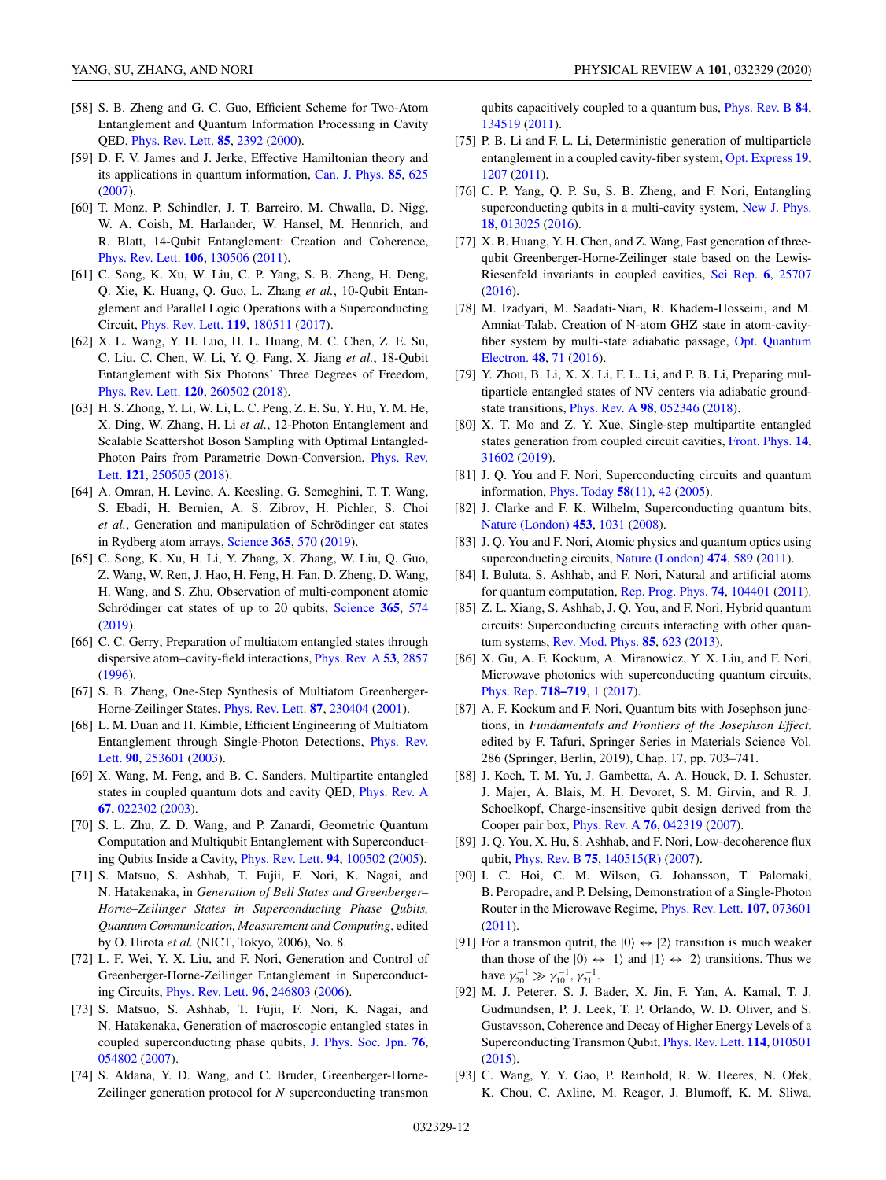- <span id="page-11-0"></span>[58] S. B. Zheng and G. C. Guo, Efficient Scheme for Two-Atom Entanglement and Quantum Information Processing in Cavity QED, [Phys. Rev. Lett.](https://doi.org/10.1103/PhysRevLett.85.2392) **[85](https://doi.org/10.1103/PhysRevLett.85.2392)**, [2392](https://doi.org/10.1103/PhysRevLett.85.2392) [\(2000\)](https://doi.org/10.1103/PhysRevLett.85.2392).
- [59] D. F. V. James and J. Jerke, Effective Hamiltonian theory and its applications in quantum information, [Can. J. Phys.](https://doi.org/10.1139/p07-060) **[85](https://doi.org/10.1139/p07-060)**, [625](https://doi.org/10.1139/p07-060) [\(2007\)](https://doi.org/10.1139/p07-060).
- [60] T. Monz, P. Schindler, J. T. Barreiro, M. Chwalla, D. Nigg, W. A. Coish, M. Harlander, W. Hansel, M. Hennrich, and R. Blatt, 14-Qubit Entanglement: Creation and Coherence, [Phys. Rev. Lett.](https://doi.org/10.1103/PhysRevLett.106.130506) **[106](https://doi.org/10.1103/PhysRevLett.106.130506)**, [130506](https://doi.org/10.1103/PhysRevLett.106.130506) [\(2011\)](https://doi.org/10.1103/PhysRevLett.106.130506).
- [61] C. Song, K. Xu, W. Liu, C. P. Yang, S. B. Zheng, H. Deng, Q. Xie, K. Huang, Q. Guo, L. Zhang *et al.*, 10-Qubit Entanglement and Parallel Logic Operations with a Superconducting Circuit, [Phys. Rev. Lett.](https://doi.org/10.1103/PhysRevLett.119.180511) **[119](https://doi.org/10.1103/PhysRevLett.119.180511)**, [180511](https://doi.org/10.1103/PhysRevLett.119.180511) [\(2017\)](https://doi.org/10.1103/PhysRevLett.119.180511).
- [62] X. L. Wang, Y. H. Luo, H. L. Huang, M. C. Chen, Z. E. Su, C. Liu, C. Chen, W. Li, Y. Q. Fang, X. Jiang *et al.*, 18-Qubit Entanglement with Six Photons' Three Degrees of Freedom, [Phys. Rev. Lett.](https://doi.org/10.1103/PhysRevLett.120.260502) **[120](https://doi.org/10.1103/PhysRevLett.120.260502)**, [260502](https://doi.org/10.1103/PhysRevLett.120.260502) [\(2018\)](https://doi.org/10.1103/PhysRevLett.120.260502).
- [63] H. S. Zhong, Y. Li, W. Li, L. C. Peng, Z. E. Su, Y. Hu, Y. M. He, X. Ding, W. Zhang, H. Li *et al.*, 12-Photon Entanglement and Scalable Scattershot Boson Sampling with Optimal Entangled-[Photon Pairs from Parametric Down-Conversion,](https://doi.org/10.1103/PhysRevLett.121.250505) Phys. Rev. Lett. **[121](https://doi.org/10.1103/PhysRevLett.121.250505)**, [250505](https://doi.org/10.1103/PhysRevLett.121.250505) [\(2018\)](https://doi.org/10.1103/PhysRevLett.121.250505).
- [64] A. Omran, H. Levine, A. Keesling, G. Semeghini, T. T. Wang, S. Ebadi, H. Bernien, A. S. Zibrov, H. Pichler, S. Choi *et al.*, Generation and manipulation of Schrödinger cat states in Rydberg atom arrays, [Science](https://doi.org/10.1126/science.aax9743) **[365](https://doi.org/10.1126/science.aax9743)**, [570](https://doi.org/10.1126/science.aax9743) [\(2019\)](https://doi.org/10.1126/science.aax9743).
- [65] C. Song, K. Xu, H. Li, Y. Zhang, X. Zhang, W. Liu, Q. Guo, Z. Wang, W. Ren, J. Hao, H. Feng, H. Fan, D. Zheng, D. Wang, H. Wang, and S. Zhu, Observation of multi-component atomic Schrödinger cat states of up to 20 qubits, [Science](https://doi.org/10.1126/science.aay0600) **[365](https://doi.org/10.1126/science.aay0600)**, [574](https://doi.org/10.1126/science.aay0600) [\(2019\)](https://doi.org/10.1126/science.aay0600).
- [66] C. C. Gerry, Preparation of multiatom entangled states through dispersive atom–cavity-field interactions, [Phys. Rev. A](https://doi.org/10.1103/PhysRevA.53.2857) **[53](https://doi.org/10.1103/PhysRevA.53.2857)**, [2857](https://doi.org/10.1103/PhysRevA.53.2857) [\(1996\)](https://doi.org/10.1103/PhysRevA.53.2857).
- [67] S. B. Zheng, One-Step Synthesis of Multiatom Greenberger-Horne-Zeilinger States, [Phys. Rev. Lett.](https://doi.org/10.1103/PhysRevLett.87.230404) **[87](https://doi.org/10.1103/PhysRevLett.87.230404)**, [230404](https://doi.org/10.1103/PhysRevLett.87.230404) [\(2001\)](https://doi.org/10.1103/PhysRevLett.87.230404).
- [68] L. M. Duan and H. Kimble, Efficient Engineering of Multiatom [Entanglement through Single-Photon Detections,](https://doi.org/10.1103/PhysRevLett.90.253601) Phys. Rev. Lett. **[90](https://doi.org/10.1103/PhysRevLett.90.253601)**, [253601](https://doi.org/10.1103/PhysRevLett.90.253601) [\(2003\)](https://doi.org/10.1103/PhysRevLett.90.253601).
- [69] X. Wang, M. Feng, and B. C. Sanders, Multipartite entangled states in coupled quantum dots and cavity QED, [Phys. Rev. A](https://doi.org/10.1103/PhysRevA.67.022302) **[67](https://doi.org/10.1103/PhysRevA.67.022302)**, [022302](https://doi.org/10.1103/PhysRevA.67.022302) [\(2003\)](https://doi.org/10.1103/PhysRevA.67.022302).
- [70] S. L. Zhu, Z. D. Wang, and P. Zanardi, Geometric Quantum Computation and Multiqubit Entanglement with Superconducting Qubits Inside a Cavity, [Phys. Rev. Lett.](https://doi.org/10.1103/PhysRevLett.94.100502) **[94](https://doi.org/10.1103/PhysRevLett.94.100502)**, [100502](https://doi.org/10.1103/PhysRevLett.94.100502) [\(2005\)](https://doi.org/10.1103/PhysRevLett.94.100502).
- [71] S. Matsuo, S. Ashhab, T. Fujii, F. Nori, K. Nagai, and N. Hatakenaka, in *Generation of Bell States and Greenberger– Horne–Zeilinger States in Superconducting Phase Qubits, Quantum Communication, Measurement and Computing*, edited by O. Hirota *et al.* (NICT, Tokyo, 2006), No. 8.
- [72] L. F. Wei, Y. X. Liu, and F. Nori, Generation and Control of Greenberger-Horne-Zeilinger Entanglement in Superconducting Circuits, [Phys. Rev. Lett.](https://doi.org/10.1103/PhysRevLett.96.246803) **[96](https://doi.org/10.1103/PhysRevLett.96.246803)**, [246803](https://doi.org/10.1103/PhysRevLett.96.246803) [\(2006\)](https://doi.org/10.1103/PhysRevLett.96.246803).
- [73] S. Matsuo, S. Ashhab, T. Fujii, F. Nori, K. Nagai, and N. Hatakenaka, Generation of macroscopic entangled states in coupled superconducting phase qubits, [J. Phys. Soc. Jpn.](https://doi.org/10.1143/JPSJ.76.054802) **[76](https://doi.org/10.1143/JPSJ.76.054802)**, [054802](https://doi.org/10.1143/JPSJ.76.054802) [\(2007\)](https://doi.org/10.1143/JPSJ.76.054802).
- [74] S. Aldana, Y. D. Wang, and C. Bruder, Greenberger-Horne-Zeilinger generation protocol for *N* superconducting transmon

qubits capacitively coupled to a quantum bus, [Phys. Rev. B](https://doi.org/10.1103/PhysRevB.84.134519) **[84](https://doi.org/10.1103/PhysRevB.84.134519)**, [134519](https://doi.org/10.1103/PhysRevB.84.134519) [\(2011\)](https://doi.org/10.1103/PhysRevB.84.134519).

- [75] P. B. Li and F. L. Li, Deterministic generation of multiparticle entanglement in a coupled cavity-fiber system, [Opt. Express](https://doi.org/10.1364/OE.19.001207) **[19](https://doi.org/10.1364/OE.19.001207)**, [1207](https://doi.org/10.1364/OE.19.001207) [\(2011\)](https://doi.org/10.1364/OE.19.001207).
- [76] C. P. Yang, Q. P. Su, S. B. Zheng, and F. Nori, Entangling superconducting qubits in a multi-cavity system, [New J. Phys.](https://doi.org/10.1088/1367-2630/18/1/013025) **[18](https://doi.org/10.1088/1367-2630/18/1/013025)**, [013025](https://doi.org/10.1088/1367-2630/18/1/013025) [\(2016\)](https://doi.org/10.1088/1367-2630/18/1/013025).
- [77] X. B. Huang, Y. H. Chen, and Z. Wang, Fast generation of threequbit Greenberger-Horne-Zeilinger state based on the Lewis-Riesenfeld invariants in coupled cavities, [Sci Rep.](https://doi.org/10.1038/srep25707) **[6](https://doi.org/10.1038/srep25707)**, [25707](https://doi.org/10.1038/srep25707) [\(2016\)](https://doi.org/10.1038/srep25707).
- [78] M. Izadyari, M. Saadati-Niari, R. Khadem-Hosseini, and M. Amniat-Talab, Creation of N-atom GHZ state in atom-cavity[fiber system by multi-state adiabatic passage,](https://doi.org/10.1007/s11082-015-0356-2) Opt. Quantum Electron. **[48](https://doi.org/10.1007/s11082-015-0356-2)**, [71](https://doi.org/10.1007/s11082-015-0356-2) [\(2016\)](https://doi.org/10.1007/s11082-015-0356-2).
- [79] Y. Zhou, B. Li, X. X. Li, F. L. Li, and P. B. Li, Preparing multiparticle entangled states of NV centers via adiabatic groundstate transitions, [Phys. Rev. A](https://doi.org/10.1103/PhysRevA.98.052346) **[98](https://doi.org/10.1103/PhysRevA.98.052346)**, [052346](https://doi.org/10.1103/PhysRevA.98.052346) [\(2018\)](https://doi.org/10.1103/PhysRevA.98.052346).
- [80] X. T. Mo and Z. Y. Xue, Single-step multipartite entangled states generation from coupled circuit cavities, [Front. Phys.](https://doi.org/10.1007/s11467-019-0888-1) **[14](https://doi.org/10.1007/s11467-019-0888-1)**, [31602](https://doi.org/10.1007/s11467-019-0888-1) [\(2019\)](https://doi.org/10.1007/s11467-019-0888-1).
- [81] J. Q. You and F. Nori, Superconducting circuits and quantum information, [Phys. Today](https://doi.org/10.1063/1.2155757) **[58](https://doi.org/10.1063/1.2155757)**[\(11\),](https://doi.org/10.1063/1.2155757) [42](https://doi.org/10.1063/1.2155757) [\(2005\)](https://doi.org/10.1063/1.2155757).
- [82] J. Clarke and F. K. Wilhelm, Superconducting quantum bits, [Nature \(London\)](https://doi.org/10.1038/nature07128) **[453](https://doi.org/10.1038/nature07128)**, [1031](https://doi.org/10.1038/nature07128) [\(2008\)](https://doi.org/10.1038/nature07128).
- [83] J. Q. You and F. Nori, Atomic physics and quantum optics using superconducting circuits, [Nature \(London\)](https://doi.org/10.1038/nature10122) **[474](https://doi.org/10.1038/nature10122)**, [589](https://doi.org/10.1038/nature10122) [\(2011\)](https://doi.org/10.1038/nature10122).
- [84] I. Buluta, S. Ashhab, and F. Nori, Natural and artificial atoms for quantum computation, [Rep. Prog. Phys.](https://doi.org/10.1088/0034-4885/74/10/104401) **[74](https://doi.org/10.1088/0034-4885/74/10/104401)**, [104401](https://doi.org/10.1088/0034-4885/74/10/104401) [\(2011\)](https://doi.org/10.1088/0034-4885/74/10/104401).
- [85] Z. L. Xiang, S. Ashhab, J. Q. You, and F. Nori, Hybrid quantum circuits: Superconducting circuits interacting with other quantum systems, [Rev. Mod. Phys.](https://doi.org/10.1103/RevModPhys.85.623) **[85](https://doi.org/10.1103/RevModPhys.85.623)**, [623](https://doi.org/10.1103/RevModPhys.85.623) [\(2013\)](https://doi.org/10.1103/RevModPhys.85.623).
- [86] X. Gu, A. F. Kockum, A. Miranowicz, Y. X. Liu, and F. Nori, Microwave photonics with superconducting quantum circuits, [Phys. Rep.](https://doi.org/10.1016/j.physrep.2017.10.002) **[718–719](https://doi.org/10.1016/j.physrep.2017.10.002)**, [1](https://doi.org/10.1016/j.physrep.2017.10.002) [\(2017\)](https://doi.org/10.1016/j.physrep.2017.10.002).
- [87] A. F. Kockum and F. Nori, Quantum bits with Josephson junctions, in *Fundamentals and Frontiers of the Josephson Effect*, edited by F. Tafuri, Springer Series in Materials Science Vol. 286 (Springer, Berlin, 2019), Chap. 17, pp. 703–741.
- [88] J. Koch, T. M. Yu, J. Gambetta, A. A. Houck, D. I. Schuster, J. Majer, A. Blais, M. H. Devoret, S. M. Girvin, and R. J. Schoelkopf, Charge-insensitive qubit design derived from the Cooper pair box, [Phys. Rev. A](https://doi.org/10.1103/PhysRevA.76.042319) **[76](https://doi.org/10.1103/PhysRevA.76.042319)**, [042319](https://doi.org/10.1103/PhysRevA.76.042319) [\(2007\)](https://doi.org/10.1103/PhysRevA.76.042319).
- [89] J. Q. You, X. Hu, S. Ashhab, and F. Nori, Low-decoherence flux qubit, [Phys. Rev. B](https://doi.org/10.1103/PhysRevB.75.140515) **[75](https://doi.org/10.1103/PhysRevB.75.140515)**, [140515\(R\)](https://doi.org/10.1103/PhysRevB.75.140515) [\(2007\)](https://doi.org/10.1103/PhysRevB.75.140515).
- [90] I. C. Hoi, C. M. Wilson, G. Johansson, T. Palomaki, B. Peropadre, and P. Delsing, Demonstration of a Single-Photon Router in the Microwave Regime, [Phys. Rev. Lett.](https://doi.org/10.1103/PhysRevLett.107.073601) **[107](https://doi.org/10.1103/PhysRevLett.107.073601)**, [073601](https://doi.org/10.1103/PhysRevLett.107.073601) [\(2011\)](https://doi.org/10.1103/PhysRevLett.107.073601).
- [91] For a transmon qutrit, the  $|0\rangle \leftrightarrow |2\rangle$  transition is much weaker than those of the  $|0\rangle \leftrightarrow |1\rangle$  and  $|1\rangle \leftrightarrow |2\rangle$  transitions. Thus we have  $\gamma_{20}^{-1} \gg \gamma_{10}^{-1}, \gamma_{21}^{-1}$ .
- [92] M. J. Peterer, S. J. Bader, X. Jin, F. Yan, A. Kamal, T. J. Gudmundsen, P. J. Leek, T. P. Orlando, W. D. Oliver, and S. Gustavsson, Coherence and Decay of Higher Energy Levels of a Superconducting Transmon Qubit, [Phys. Rev. Lett.](https://doi.org/10.1103/PhysRevLett.114.010501) **[114](https://doi.org/10.1103/PhysRevLett.114.010501)**, [010501](https://doi.org/10.1103/PhysRevLett.114.010501)  $(2015)$
- [93] C. Wang, Y. Y. Gao, P. Reinhold, R. W. Heeres, N. Ofek, K. Chou, C. Axline, M. Reagor, J. Blumoff, K. M. Sliwa,